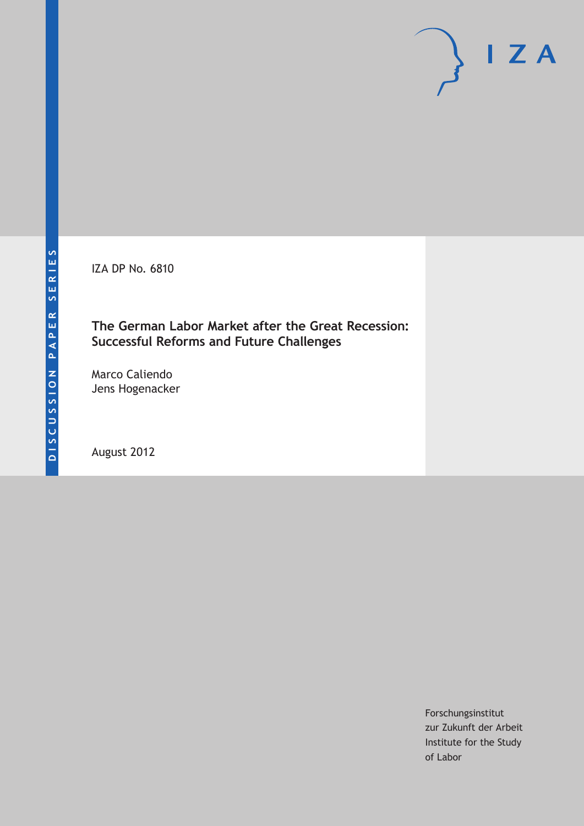IZA DP No. 6810

# **The German Labor Market after the Great Recession: Successful Reforms and Future Challenges**

Marco Caliendo Jens Hogenacker

August 2012

Forschungsinstitut zur Zukunft der Arbeit Institute for the Study of Labor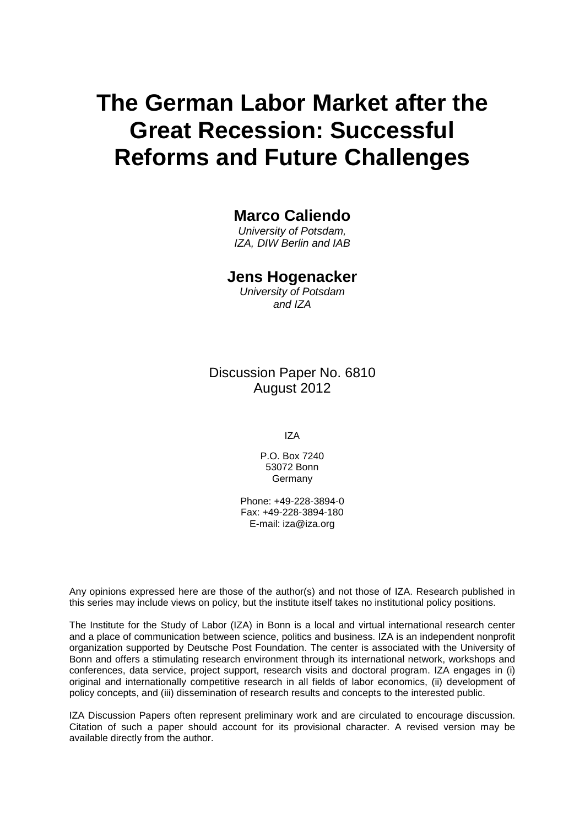# **The German Labor Market after the Great Recession: Successful Reforms and Future Challenges**

# **Marco Caliendo**

*University of Potsdam, IZA, DIW Berlin and IAB*

# **Jens Hogenacker**

*University of Potsdam and IZA*

Discussion Paper No. 6810 August 2012

IZA

P.O. Box 7240 53072 Bonn Germany

Phone: +49-228-3894-0 Fax: +49-228-3894-180 E-mail: [iza@iza.org](mailto:iza@iza.org)

Any opinions expressed here are those of the author(s) and not those of IZA. Research published in this series may include views on policy, but the institute itself takes no institutional policy positions.

The Institute for the Study of Labor (IZA) in Bonn is a local and virtual international research center and a place of communication between science, politics and business. IZA is an independent nonprofit organization supported by Deutsche Post Foundation. The center is associated with the University of Bonn and offers a stimulating research environment through its international network, workshops and conferences, data service, project support, research visits and doctoral program. IZA engages in (i) original and internationally competitive research in all fields of labor economics, (ii) development of policy concepts, and (iii) dissemination of research results and concepts to the interested public.

IZA Discussion Papers often represent preliminary work and are circulated to encourage discussion. Citation of such a paper should account for its provisional character. A revised version may be available directly from the author.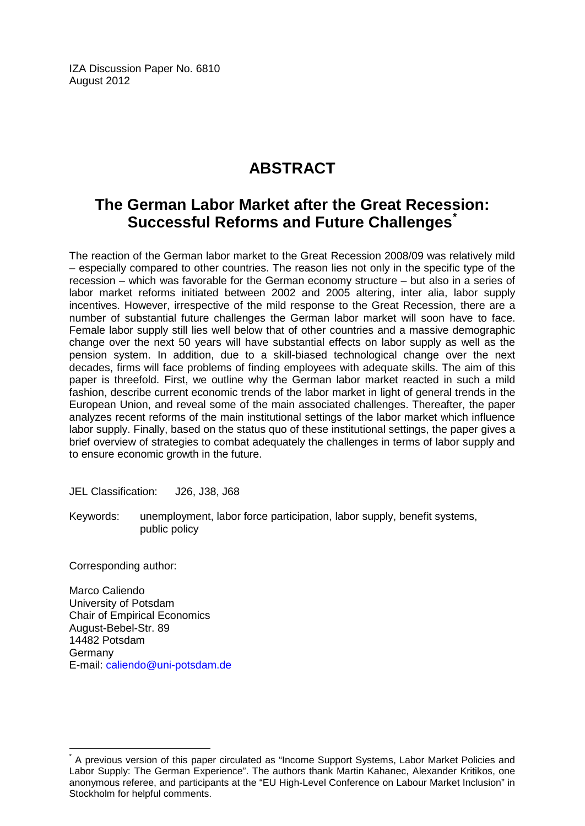IZA Discussion Paper No. 6810 August 2012

# **ABSTRACT**

# **The German Labor Market after the Great Recession: Successful Reforms and Future Challenges[\\*](#page-2-0)**

The reaction of the German labor market to the Great Recession 2008/09 was relatively mild – especially compared to other countries. The reason lies not only in the specific type of the recession – which was favorable for the German economy structure – but also in a series of labor market reforms initiated between 2002 and 2005 altering, inter alia, labor supply incentives. However, irrespective of the mild response to the Great Recession, there are a number of substantial future challenges the German labor market will soon have to face. Female labor supply still lies well below that of other countries and a massive demographic change over the next 50 years will have substantial effects on labor supply as well as the pension system. In addition, due to a skill-biased technological change over the next decades, firms will face problems of finding employees with adequate skills. The aim of this paper is threefold. First, we outline why the German labor market reacted in such a mild fashion, describe current economic trends of the labor market in light of general trends in the European Union, and reveal some of the main associated challenges. Thereafter, the paper analyzes recent reforms of the main institutional settings of the labor market which influence labor supply. Finally, based on the status quo of these institutional settings, the paper gives a brief overview of strategies to combat adequately the challenges in terms of labor supply and to ensure economic growth in the future.

JEL Classification: J26, J38, J68

Keywords: unemployment, labor force participation, labor supply, benefit systems, public policy

Corresponding author:

Marco Caliendo University of Potsdam Chair of Empirical Economics August-Bebel-Str. 89 14482 Potsdam Germany E-mail: [caliendo@uni-potsdam.de](mailto:caliendo@uni-potsdam.de)

<span id="page-2-0"></span>A previous version of this paper circulated as "Income Support Systems, Labor Market Policies and Labor Supply: The German Experience". The authors thank Martin Kahanec, Alexander Kritikos, one anonymous referee, and participants at the "EU High-Level Conference on Labour Market Inclusion" in Stockholm for helpful comments.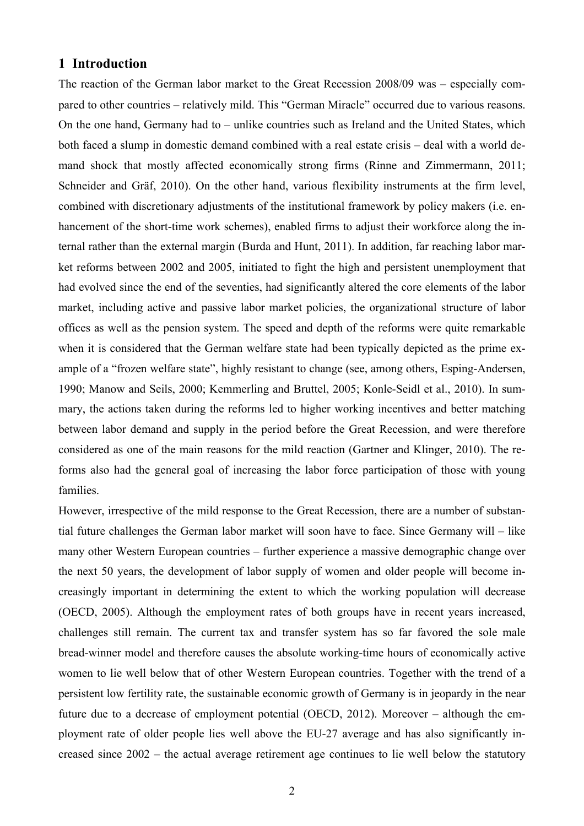# **1 Introduction**

The reaction of the German labor market to the Great Recession 2008/09 was – especially compared to other countries – relatively mild. This "German Miracle" occurred due to various reasons. On the one hand, Germany had to – unlike countries such as Ireland and the United States, which both faced a slump in domestic demand combined with a real estate crisis – deal with a world demand shock that mostly affected economically strong firms (Rinne and Zimmermann, 2011; Schneider and Gräf, 2010). On the other hand, various flexibility instruments at the firm level, combined with discretionary adjustments of the institutional framework by policy makers (i.e. enhancement of the short-time work schemes), enabled firms to adjust their workforce along the internal rather than the external margin (Burda and Hunt, 2011). In addition, far reaching labor market reforms between 2002 and 2005, initiated to fight the high and persistent unemployment that had evolved since the end of the seventies, had significantly altered the core elements of the labor market, including active and passive labor market policies, the organizational structure of labor offices as well as the pension system. The speed and depth of the reforms were quite remarkable when it is considered that the German welfare state had been typically depicted as the prime example of a "frozen welfare state", highly resistant to change (see, among others, Esping-Andersen, 1990; Manow and Seils, 2000; Kemmerling and Bruttel, 2005; Konle-Seidl et al., 2010). In summary, the actions taken during the reforms led to higher working incentives and better matching between labor demand and supply in the period before the Great Recession, and were therefore considered as one of the main reasons for the mild reaction (Gartner and Klinger, 2010). The reforms also had the general goal of increasing the labor force participation of those with young families.

However, irrespective of the mild response to the Great Recession, there are a number of substantial future challenges the German labor market will soon have to face. Since Germany will – like many other Western European countries – further experience a massive demographic change over the next 50 years, the development of labor supply of women and older people will become increasingly important in determining the extent to which the working population will decrease (OECD, 2005). Although the employment rates of both groups have in recent years increased, challenges still remain. The current tax and transfer system has so far favored the sole male bread-winner model and therefore causes the absolute working-time hours of economically active women to lie well below that of other Western European countries. Together with the trend of a persistent low fertility rate, the sustainable economic growth of Germany is in jeopardy in the near future due to a decrease of employment potential (OECD, 2012). Moreover – although the employment rate of older people lies well above the EU-27 average and has also significantly increased since 2002 – the actual average retirement age continues to lie well below the statutory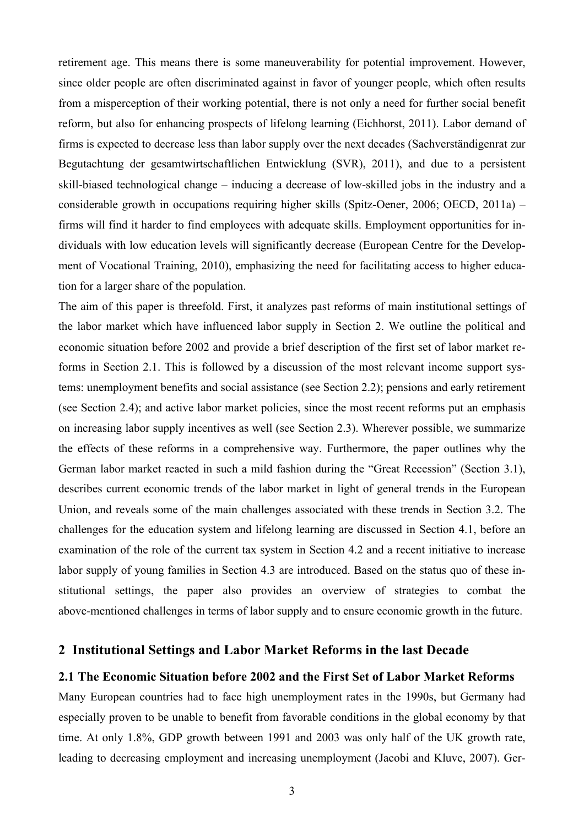retirement age. This means there is some maneuverability for potential improvement. However, since older people are often discriminated against in favor of younger people, which often results from a misperception of their working potential, there is not only a need for further social benefit reform, but also for enhancing prospects of lifelong learning (Eichhorst, 2011). Labor demand of firms is expected to decrease less than labor supply over the next decades (Sachverständigenrat zur Begutachtung der gesamtwirtschaftlichen Entwicklung (SVR), 2011), and due to a persistent skill-biased technological change – inducing a decrease of low-skilled jobs in the industry and a considerable growth in occupations requiring higher skills (Spitz-Oener, 2006; OECD, 2011a) – firms will find it harder to find employees with adequate skills. Employment opportunities for individuals with low education levels will significantly decrease (European Centre for the Development of Vocational Training, 2010), emphasizing the need for facilitating access to higher education for a larger share of the population.

The aim of this paper is threefold. First, it analyzes past reforms of main institutional settings of the labor market which have influenced labor supply in Section 2. We outline the political and economic situation before 2002 and provide a brief description of the first set of labor market reforms in Section 2.1. This is followed by a discussion of the most relevant income support systems: unemployment benefits and social assistance (see Section 2.2); pensions and early retirement (see Section 2.4); and active labor market policies, since the most recent reforms put an emphasis on increasing labor supply incentives as well (see Section 2.3). Wherever possible, we summarize the effects of these reforms in a comprehensive way. Furthermore, the paper outlines why the German labor market reacted in such a mild fashion during the "Great Recession" (Section 3.1), describes current economic trends of the labor market in light of general trends in the European Union, and reveals some of the main challenges associated with these trends in Section 3.2. The challenges for the education system and lifelong learning are discussed in Section 4.1, before an examination of the role of the current tax system in Section 4.2 and a recent initiative to increase labor supply of young families in Section 4.3 are introduced. Based on the status quo of these institutional settings, the paper also provides an overview of strategies to combat the above-mentioned challenges in terms of labor supply and to ensure economic growth in the future.

# **2 Institutional Settings and Labor Market Reforms in the last Decade**

#### **2.1 The Economic Situation before 2002 and the First Set of Labor Market Reforms**

Many European countries had to face high unemployment rates in the 1990s, but Germany had especially proven to be unable to benefit from favorable conditions in the global economy by that time. At only 1.8%, GDP growth between 1991 and 2003 was only half of the UK growth rate, leading to decreasing employment and increasing unemployment (Jacobi and Kluve, 2007). Ger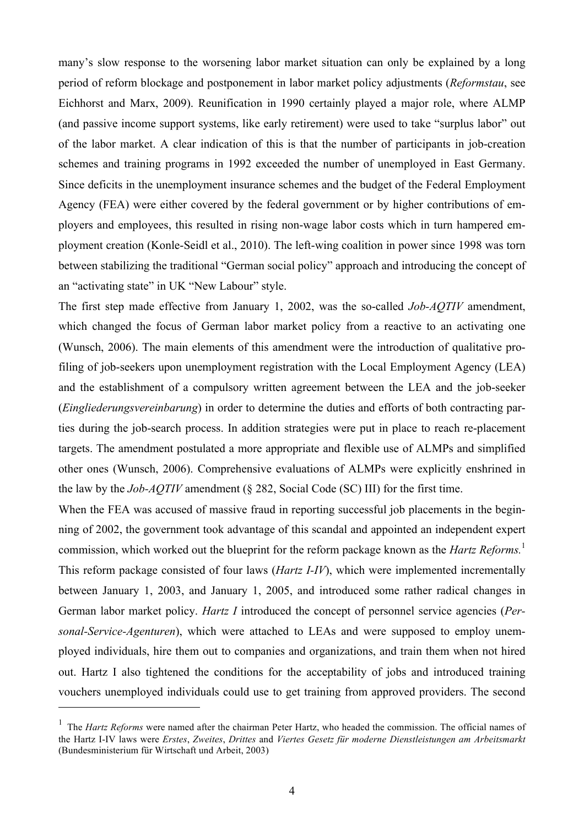many's slow response to the worsening labor market situation can only be explained by a long period of reform blockage and postponement in labor market policy adjustments (*Reformstau*, see Eichhorst and Marx, 2009). Reunification in 1990 certainly played a major role, where ALMP (and passive income support systems, like early retirement) were used to take "surplus labor" out of the labor market. A clear indication of this is that the number of participants in job-creation schemes and training programs in 1992 exceeded the number of unemployed in East Germany. Since deficits in the unemployment insurance schemes and the budget of the Federal Employment Agency (FEA) were either covered by the federal government or by higher contributions of employers and employees, this resulted in rising non-wage labor costs which in turn hampered employment creation (Konle-Seidl et al., 2010). The left-wing coalition in power since 1998 was torn between stabilizing the traditional "German social policy" approach and introducing the concept of an "activating state" in UK "New Labour" style.

The first step made effective from January 1, 2002, was the so-called *Job-AQTIV* amendment, which changed the focus of German labor market policy from a reactive to an activating one (Wunsch, 2006). The main elements of this amendment were the introduction of qualitative profiling of job-seekers upon unemployment registration with the Local Employment Agency (LEA) and the establishment of a compulsory written agreement between the LEA and the job-seeker (*Eingliederungsvereinbarung*) in order to determine the duties and efforts of both contracting parties during the job-search process. In addition strategies were put in place to reach re-placement targets. The amendment postulated a more appropriate and flexible use of ALMPs and simplified other ones (Wunsch, 2006). Comprehensive evaluations of ALMPs were explicitly enshrined in the law by the *Job-AQTIV* amendment (§ 282, Social Code (SC) III) for the first time.

When the FEA was accused of massive fraud in reporting successful job placements in the beginning of 2002, the government took advantage of this scandal and appointed an independent expert commission, which worked out the blueprint for the reform package known as the *Hartz Reforms.*<sup>1</sup> This reform package consisted of four laws (*Hartz I-IV*), which were implemented incrementally between January 1, 2003, and January 1, 2005, and introduced some rather radical changes in German labor market policy. *Hartz I* introduced the concept of personnel service agencies (*Personal-Service-Agenturen*), which were attached to LEAs and were supposed to employ unemployed individuals, hire them out to companies and organizations, and train them when not hired out. Hartz I also tightened the conditions for the acceptability of jobs and introduced training vouchers unemployed individuals could use to get training from approved providers. The second

 $\overline{a}$ 

<sup>1</sup> The *Hartz Reforms* were named after the chairman Peter Hartz, who headed the commission. The official names of the Hartz I-IV laws were *Erstes*, *Zweites*, *Drittes* and *Viertes Gesetz für moderne Dienstleistungen am Arbeitsmarkt* (Bundesministerium für Wirtschaft und Arbeit, 2003)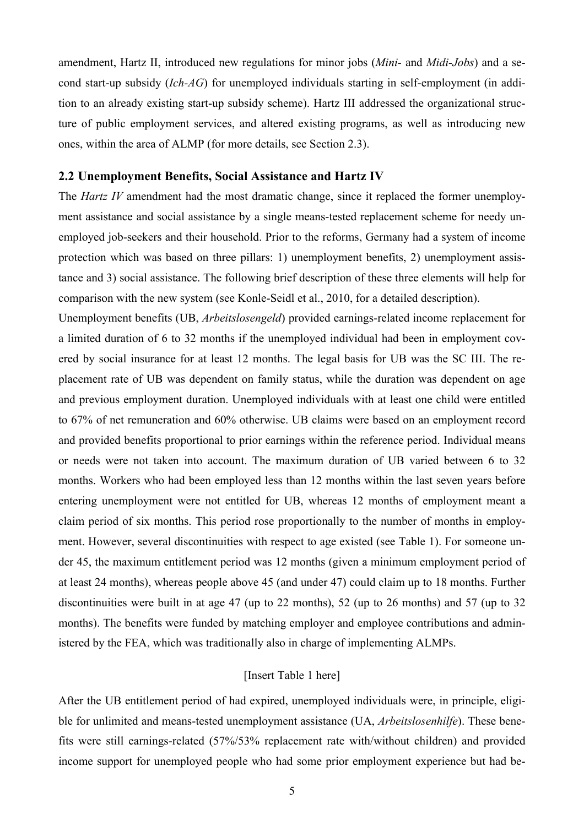amendment, Hartz II, introduced new regulations for minor jobs (*Mini-* and *Midi-Jobs*) and a second start-up subsidy (*Ich-AG*) for unemployed individuals starting in self-employment (in addition to an already existing start-up subsidy scheme). Hartz III addressed the organizational structure of public employment services, and altered existing programs, as well as introducing new ones, within the area of ALMP (for more details, see Section 2.3).

#### **2.2 Unemployment Benefits, Social Assistance and Hartz IV**

The *Hartz IV* amendment had the most dramatic change, since it replaced the former unemployment assistance and social assistance by a single means-tested replacement scheme for needy unemployed job-seekers and their household. Prior to the reforms, Germany had a system of income protection which was based on three pillars: 1) unemployment benefits, 2) unemployment assistance and 3) social assistance. The following brief description of these three elements will help for comparison with the new system (see Konle-Seidl et al., 2010, for a detailed description).

Unemployment benefits (UB, *Arbeitslosengeld*) provided earnings-related income replacement for a limited duration of 6 to 32 months if the unemployed individual had been in employment covered by social insurance for at least 12 months. The legal basis for UB was the SC III. The replacement rate of UB was dependent on family status, while the duration was dependent on age and previous employment duration. Unemployed individuals with at least one child were entitled to 67% of net remuneration and 60% otherwise. UB claims were based on an employment record and provided benefits proportional to prior earnings within the reference period. Individual means or needs were not taken into account. The maximum duration of UB varied between 6 to 32 months. Workers who had been employed less than 12 months within the last seven years before entering unemployment were not entitled for UB, whereas 12 months of employment meant a claim period of six months. This period rose proportionally to the number of months in employment. However, several discontinuities with respect to age existed (see Table 1). For someone under 45, the maximum entitlement period was 12 months (given a minimum employment period of at least 24 months), whereas people above 45 (and under 47) could claim up to 18 months. Further discontinuities were built in at age 47 (up to 22 months), 52 (up to 26 months) and 57 (up to 32 months). The benefits were funded by matching employer and employee contributions and administered by the FEA, which was traditionally also in charge of implementing ALMPs.

#### [Insert Table 1 here]

After the UB entitlement period of had expired, unemployed individuals were, in principle, eligible for unlimited and means-tested unemployment assistance (UA, *Arbeitslosenhilfe*). These benefits were still earnings-related (57%/53% replacement rate with/without children) and provided income support for unemployed people who had some prior employment experience but had be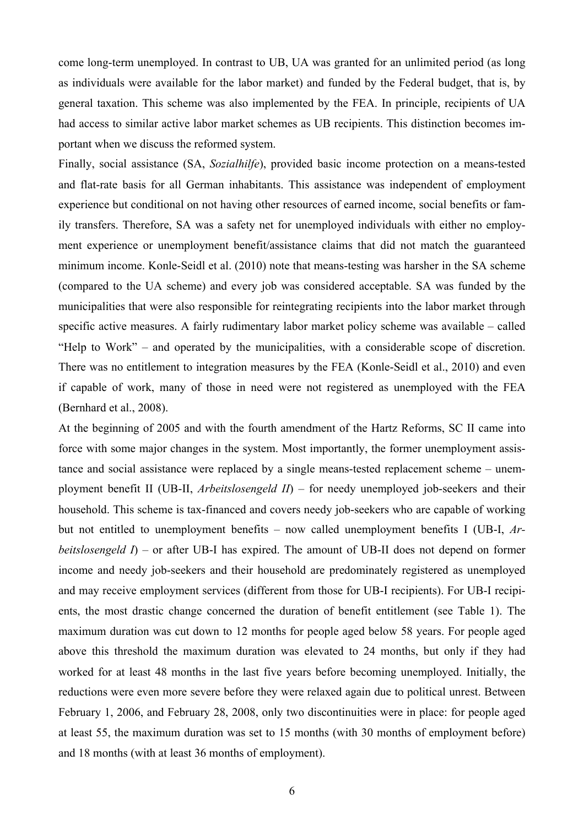come long-term unemployed. In contrast to UB, UA was granted for an unlimited period (as long as individuals were available for the labor market) and funded by the Federal budget, that is, by general taxation. This scheme was also implemented by the FEA. In principle, recipients of UA had access to similar active labor market schemes as UB recipients. This distinction becomes important when we discuss the reformed system.

Finally, social assistance (SA, *Sozialhilfe*), provided basic income protection on a means-tested and flat-rate basis for all German inhabitants. This assistance was independent of employment experience but conditional on not having other resources of earned income, social benefits or family transfers. Therefore, SA was a safety net for unemployed individuals with either no employment experience or unemployment benefit/assistance claims that did not match the guaranteed minimum income. Konle-Seidl et al. (2010) note that means-testing was harsher in the SA scheme (compared to the UA scheme) and every job was considered acceptable. SA was funded by the municipalities that were also responsible for reintegrating recipients into the labor market through specific active measures. A fairly rudimentary labor market policy scheme was available – called "Help to Work" – and operated by the municipalities, with a considerable scope of discretion. There was no entitlement to integration measures by the FEA (Konle-Seidl et al., 2010) and even if capable of work, many of those in need were not registered as unemployed with the FEA (Bernhard et al., 2008).

At the beginning of 2005 and with the fourth amendment of the Hartz Reforms, SC II came into force with some major changes in the system. Most importantly, the former unemployment assistance and social assistance were replaced by a single means-tested replacement scheme – unemployment benefit II (UB-II, *Arbeitslosengeld II*) – for needy unemployed job-seekers and their household. This scheme is tax-financed and covers needy job-seekers who are capable of working but not entitled to unemployment benefits – now called unemployment benefits I (UB-I, *Arbeitslosengeld I*) – or after UB-I has expired. The amount of UB-II does not depend on former income and needy job-seekers and their household are predominately registered as unemployed and may receive employment services (different from those for UB-I recipients). For UB-I recipients, the most drastic change concerned the duration of benefit entitlement (see Table 1). The maximum duration was cut down to 12 months for people aged below 58 years. For people aged above this threshold the maximum duration was elevated to 24 months, but only if they had worked for at least 48 months in the last five years before becoming unemployed. Initially, the reductions were even more severe before they were relaxed again due to political unrest. Between February 1, 2006, and February 28, 2008, only two discontinuities were in place: for people aged at least 55, the maximum duration was set to 15 months (with 30 months of employment before) and 18 months (with at least 36 months of employment).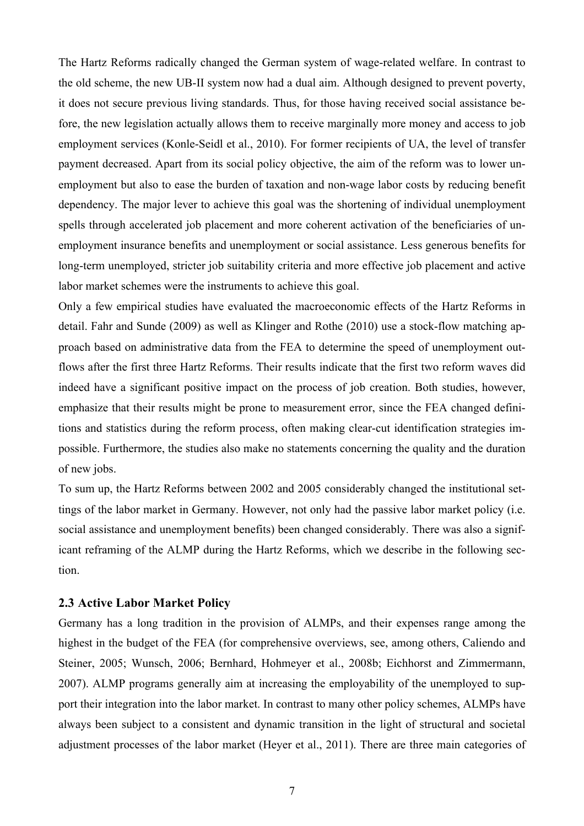The Hartz Reforms radically changed the German system of wage-related welfare. In contrast to the old scheme, the new UB-II system now had a dual aim. Although designed to prevent poverty, it does not secure previous living standards. Thus, for those having received social assistance before, the new legislation actually allows them to receive marginally more money and access to job employment services (Konle-Seidl et al., 2010). For former recipients of UA, the level of transfer payment decreased. Apart from its social policy objective, the aim of the reform was to lower unemployment but also to ease the burden of taxation and non-wage labor costs by reducing benefit dependency. The major lever to achieve this goal was the shortening of individual unemployment spells through accelerated job placement and more coherent activation of the beneficiaries of unemployment insurance benefits and unemployment or social assistance. Less generous benefits for long-term unemployed, stricter job suitability criteria and more effective job placement and active labor market schemes were the instruments to achieve this goal.

Only a few empirical studies have evaluated the macroeconomic effects of the Hartz Reforms in detail. Fahr and Sunde (2009) as well as Klinger and Rothe (2010) use a stock-flow matching approach based on administrative data from the FEA to determine the speed of unemployment outflows after the first three Hartz Reforms. Their results indicate that the first two reform waves did indeed have a significant positive impact on the process of job creation. Both studies, however, emphasize that their results might be prone to measurement error, since the FEA changed definitions and statistics during the reform process, often making clear-cut identification strategies impossible. Furthermore, the studies also make no statements concerning the quality and the duration of new jobs.

To sum up, the Hartz Reforms between 2002 and 2005 considerably changed the institutional settings of the labor market in Germany. However, not only had the passive labor market policy (i.e. social assistance and unemployment benefits) been changed considerably. There was also a significant reframing of the ALMP during the Hartz Reforms, which we describe in the following section.

## **2.3 Active Labor Market Policy**

Germany has a long tradition in the provision of ALMPs, and their expenses range among the highest in the budget of the FEA (for comprehensive overviews, see, among others, Caliendo and Steiner, 2005; Wunsch, 2006; Bernhard, Hohmeyer et al., 2008b; Eichhorst and Zimmermann, 2007). ALMP programs generally aim at increasing the employability of the unemployed to support their integration into the labor market. In contrast to many other policy schemes, ALMPs have always been subject to a consistent and dynamic transition in the light of structural and societal adjustment processes of the labor market (Heyer et al., 2011). There are three main categories of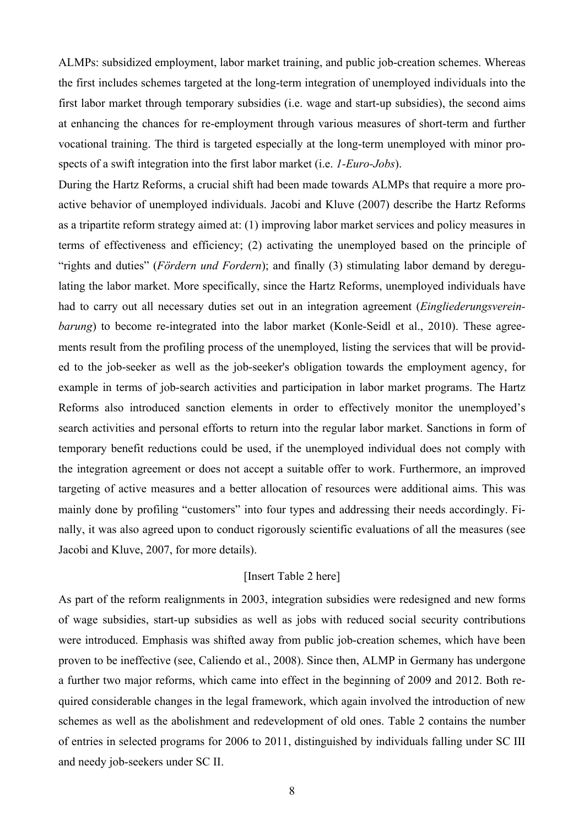ALMPs: subsidized employment, labor market training, and public job-creation schemes. Whereas the first includes schemes targeted at the long-term integration of unemployed individuals into the first labor market through temporary subsidies (i.e. wage and start-up subsidies), the second aims at enhancing the chances for re-employment through various measures of short-term and further vocational training. The third is targeted especially at the long-term unemployed with minor prospects of a swift integration into the first labor market (i.e. *1-Euro-Jobs*).

During the Hartz Reforms, a crucial shift had been made towards ALMPs that require a more proactive behavior of unemployed individuals. Jacobi and Kluve (2007) describe the Hartz Reforms as a tripartite reform strategy aimed at: (1) improving labor market services and policy measures in terms of effectiveness and efficiency; (2) activating the unemployed based on the principle of "rights and duties" (*Fördern und Fordern*); and finally (3) stimulating labor demand by deregulating the labor market. More specifically, since the Hartz Reforms, unemployed individuals have had to carry out all necessary duties set out in an integration agreement (*Eingliederungsvereinbarung*) to become re-integrated into the labor market (Konle-Seidl et al., 2010). These agreements result from the profiling process of the unemployed, listing the services that will be provided to the job-seeker as well as the job-seeker's obligation towards the employment agency, for example in terms of job-search activities and participation in labor market programs. The Hartz Reforms also introduced sanction elements in order to effectively monitor the unemployed's search activities and personal efforts to return into the regular labor market. Sanctions in form of temporary benefit reductions could be used, if the unemployed individual does not comply with the integration agreement or does not accept a suitable offer to work. Furthermore, an improved targeting of active measures and a better allocation of resources were additional aims. This was mainly done by profiling "customers" into four types and addressing their needs accordingly. Finally, it was also agreed upon to conduct rigorously scientific evaluations of all the measures (see Jacobi and Kluve, 2007, for more details).

#### [Insert Table 2 here]

As part of the reform realignments in 2003, integration subsidies were redesigned and new forms of wage subsidies, start-up subsidies as well as jobs with reduced social security contributions were introduced. Emphasis was shifted away from public job-creation schemes, which have been proven to be ineffective (see, Caliendo et al., 2008). Since then, ALMP in Germany has undergone a further two major reforms, which came into effect in the beginning of 2009 and 2012. Both required considerable changes in the legal framework, which again involved the introduction of new schemes as well as the abolishment and redevelopment of old ones. Table 2 contains the number of entries in selected programs for 2006 to 2011, distinguished by individuals falling under SC III and needy job-seekers under SC II.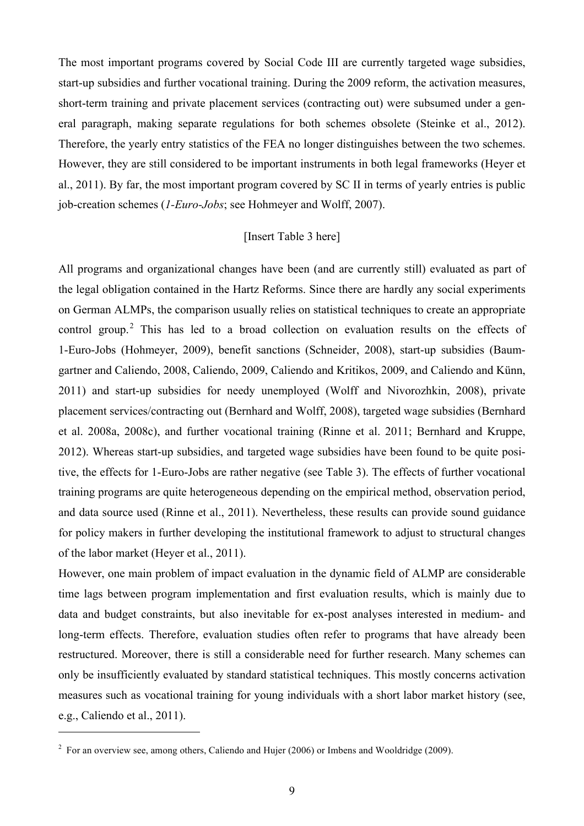The most important programs covered by Social Code III are currently targeted wage subsidies, start-up subsidies and further vocational training. During the 2009 reform, the activation measures, short-term training and private placement services (contracting out) were subsumed under a general paragraph, making separate regulations for both schemes obsolete (Steinke et al., 2012). Therefore, the yearly entry statistics of the FEA no longer distinguishes between the two schemes. However, they are still considered to be important instruments in both legal frameworks (Heyer et al., 2011). By far, the most important program covered by SC II in terms of yearly entries is public job-creation schemes (*1-Euro-Jobs*; see Hohmeyer and Wolff, 2007).

#### [Insert Table 3 here]

All programs and organizational changes have been (and are currently still) evaluated as part of the legal obligation contained in the Hartz Reforms. Since there are hardly any social experiments on German ALMPs, the comparison usually relies on statistical techniques to create an appropriate control group.<sup>2</sup> This has led to a broad collection on evaluation results on the effects of 1-Euro-Jobs (Hohmeyer, 2009), benefit sanctions (Schneider, 2008), start-up subsidies (Baumgartner and Caliendo, 2008, Caliendo, 2009, Caliendo and Kritikos, 2009, and Caliendo and Künn, 2011) and start-up subsidies for needy unemployed (Wolff and Nivorozhkin, 2008), private placement services/contracting out (Bernhard and Wolff, 2008), targeted wage subsidies (Bernhard et al. 2008a, 2008c), and further vocational training (Rinne et al. 2011; Bernhard and Kruppe, 2012). Whereas start-up subsidies, and targeted wage subsidies have been found to be quite positive, the effects for 1-Euro-Jobs are rather negative (see Table 3). The effects of further vocational training programs are quite heterogeneous depending on the empirical method, observation period, and data source used (Rinne et al., 2011). Nevertheless, these results can provide sound guidance for policy makers in further developing the institutional framework to adjust to structural changes of the labor market (Heyer et al., 2011).

However, one main problem of impact evaluation in the dynamic field of ALMP are considerable time lags between program implementation and first evaluation results, which is mainly due to data and budget constraints, but also inevitable for ex-post analyses interested in medium- and long-term effects. Therefore, evaluation studies often refer to programs that have already been restructured. Moreover, there is still a considerable need for further research. Many schemes can only be insufficiently evaluated by standard statistical techniques. This mostly concerns activation measures such as vocational training for young individuals with a short labor market history (see, e.g., Caliendo et al., 2011).

 $\overline{a}$ 

 $2\degree$  For an overview see, among others, Caliendo and Hujer (2006) or Imbens and Wooldridge (2009).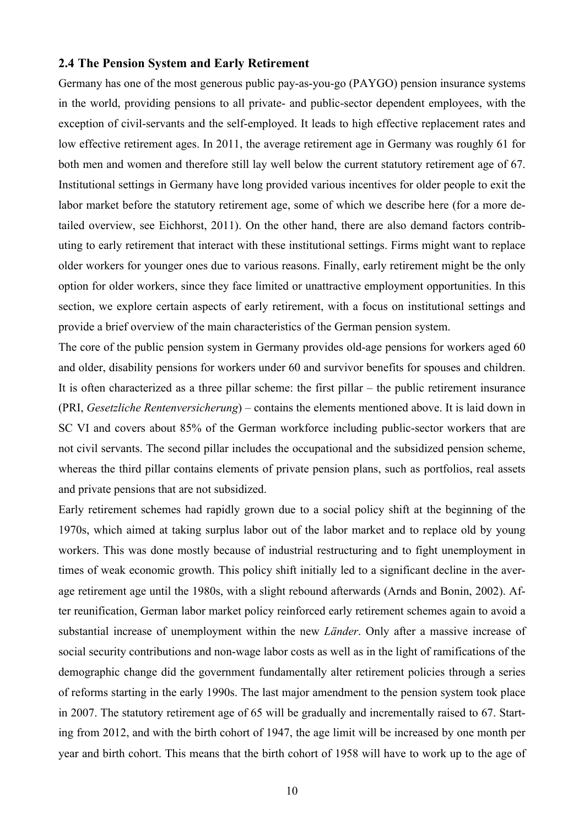## **2.4 The Pension System and Early Retirement**

Germany has one of the most generous public pay-as-you-go (PAYGO) pension insurance systems in the world, providing pensions to all private- and public-sector dependent employees, with the exception of civil-servants and the self-employed. It leads to high effective replacement rates and low effective retirement ages. In 2011, the average retirement age in Germany was roughly 61 for both men and women and therefore still lay well below the current statutory retirement age of 67. Institutional settings in Germany have long provided various incentives for older people to exit the labor market before the statutory retirement age, some of which we describe here (for a more detailed overview, see Eichhorst, 2011). On the other hand, there are also demand factors contributing to early retirement that interact with these institutional settings. Firms might want to replace older workers for younger ones due to various reasons. Finally, early retirement might be the only option for older workers, since they face limited or unattractive employment opportunities. In this section, we explore certain aspects of early retirement, with a focus on institutional settings and provide a brief overview of the main characteristics of the German pension system.

The core of the public pension system in Germany provides old-age pensions for workers aged 60 and older, disability pensions for workers under 60 and survivor benefits for spouses and children. It is often characterized as a three pillar scheme: the first pillar – the public retirement insurance (PRI, *Gesetzliche Rentenversicherung*) – contains the elements mentioned above. It is laid down in SC VI and covers about 85% of the German workforce including public-sector workers that are not civil servants. The second pillar includes the occupational and the subsidized pension scheme, whereas the third pillar contains elements of private pension plans, such as portfolios, real assets and private pensions that are not subsidized.

Early retirement schemes had rapidly grown due to a social policy shift at the beginning of the 1970s, which aimed at taking surplus labor out of the labor market and to replace old by young workers. This was done mostly because of industrial restructuring and to fight unemployment in times of weak economic growth. This policy shift initially led to a significant decline in the average retirement age until the 1980s, with a slight rebound afterwards (Arnds and Bonin, 2002). After reunification, German labor market policy reinforced early retirement schemes again to avoid a substantial increase of unemployment within the new *Länder*. Only after a massive increase of social security contributions and non-wage labor costs as well as in the light of ramifications of the demographic change did the government fundamentally alter retirement policies through a series of reforms starting in the early 1990s. The last major amendment to the pension system took place in 2007. The statutory retirement age of 65 will be gradually and incrementally raised to 67. Starting from 2012, and with the birth cohort of 1947, the age limit will be increased by one month per year and birth cohort. This means that the birth cohort of 1958 will have to work up to the age of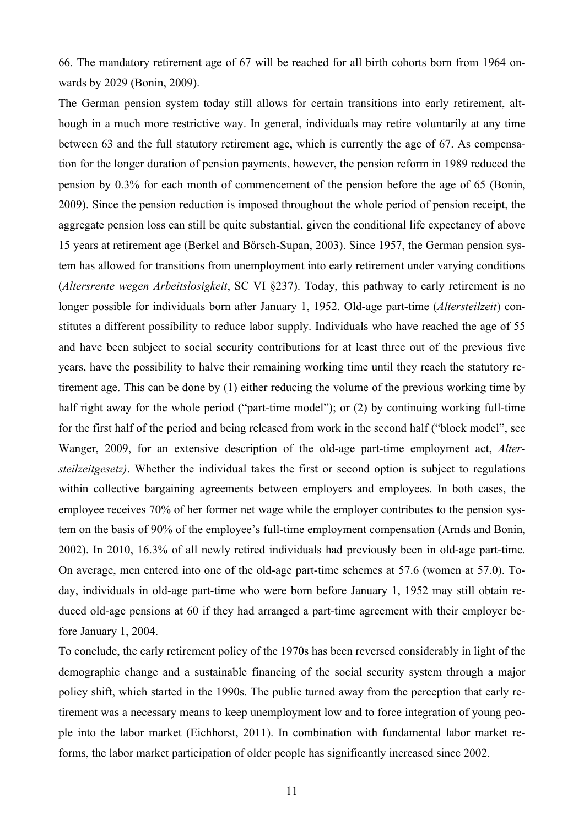66. The mandatory retirement age of 67 will be reached for all birth cohorts born from 1964 onwards by 2029 (Bonin, 2009).

The German pension system today still allows for certain transitions into early retirement, although in a much more restrictive way. In general, individuals may retire voluntarily at any time between 63 and the full statutory retirement age, which is currently the age of 67. As compensation for the longer duration of pension payments, however, the pension reform in 1989 reduced the pension by 0.3% for each month of commencement of the pension before the age of 65 (Bonin, 2009). Since the pension reduction is imposed throughout the whole period of pension receipt, the aggregate pension loss can still be quite substantial, given the conditional life expectancy of above 15 years at retirement age (Berkel and Börsch-Supan, 2003). Since 1957, the German pension system has allowed for transitions from unemployment into early retirement under varying conditions (*Altersrente wegen Arbeitslosigkeit*, SC VI §237). Today, this pathway to early retirement is no longer possible for individuals born after January 1, 1952. Old-age part-time (*Altersteilzeit*) constitutes a different possibility to reduce labor supply. Individuals who have reached the age of 55 and have been subject to social security contributions for at least three out of the previous five years, have the possibility to halve their remaining working time until they reach the statutory retirement age. This can be done by (1) either reducing the volume of the previous working time by half right away for the whole period ("part-time model"); or (2) by continuing working full-time for the first half of the period and being released from work in the second half ("block model", see Wanger, 2009, for an extensive description of the old-age part-time employment act, *Altersteilzeitgesetz)*. Whether the individual takes the first or second option is subject to regulations within collective bargaining agreements between employers and employees. In both cases, the employee receives 70% of her former net wage while the employer contributes to the pension system on the basis of 90% of the employee's full-time employment compensation (Arnds and Bonin, 2002). In 2010, 16.3% of all newly retired individuals had previously been in old-age part-time. On average, men entered into one of the old-age part-time schemes at 57.6 (women at 57.0). Today, individuals in old-age part-time who were born before January 1, 1952 may still obtain reduced old-age pensions at 60 if they had arranged a part-time agreement with their employer before January 1, 2004.

To conclude, the early retirement policy of the 1970s has been reversed considerably in light of the demographic change and a sustainable financing of the social security system through a major policy shift, which started in the 1990s. The public turned away from the perception that early retirement was a necessary means to keep unemployment low and to force integration of young people into the labor market (Eichhorst, 2011). In combination with fundamental labor market reforms, the labor market participation of older people has significantly increased since 2002.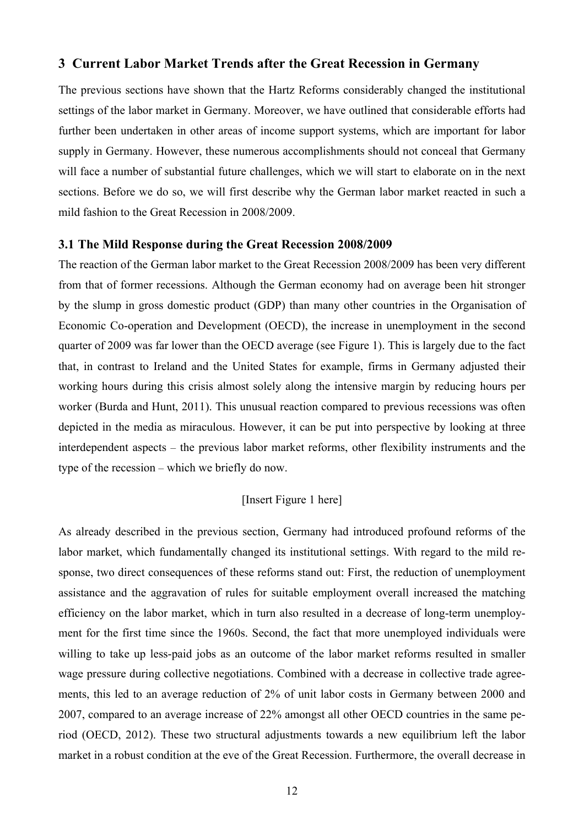# **3 Current Labor Market Trends after the Great Recession in Germany**

The previous sections have shown that the Hartz Reforms considerably changed the institutional settings of the labor market in Germany. Moreover, we have outlined that considerable efforts had further been undertaken in other areas of income support systems, which are important for labor supply in Germany. However, these numerous accomplishments should not conceal that Germany will face a number of substantial future challenges, which we will start to elaborate on in the next sections. Before we do so, we will first describe why the German labor market reacted in such a mild fashion to the Great Recession in 2008/2009.

#### **3.1 The Mild Response during the Great Recession 2008/2009**

The reaction of the German labor market to the Great Recession 2008/2009 has been very different from that of former recessions. Although the German economy had on average been hit stronger by the slump in gross domestic product (GDP) than many other countries in the Organisation of Economic Co-operation and Development (OECD), the increase in unemployment in the second quarter of 2009 was far lower than the OECD average (see Figure 1). This is largely due to the fact that, in contrast to Ireland and the United States for example, firms in Germany adjusted their working hours during this crisis almost solely along the intensive margin by reducing hours per worker (Burda and Hunt, 2011). This unusual reaction compared to previous recessions was often depicted in the media as miraculous. However, it can be put into perspective by looking at three interdependent aspects – the previous labor market reforms, other flexibility instruments and the type of the recession – which we briefly do now.

# [Insert Figure 1 here]

As already described in the previous section, Germany had introduced profound reforms of the labor market, which fundamentally changed its institutional settings. With regard to the mild response, two direct consequences of these reforms stand out: First, the reduction of unemployment assistance and the aggravation of rules for suitable employment overall increased the matching efficiency on the labor market, which in turn also resulted in a decrease of long-term unemployment for the first time since the 1960s. Second, the fact that more unemployed individuals were willing to take up less-paid jobs as an outcome of the labor market reforms resulted in smaller wage pressure during collective negotiations. Combined with a decrease in collective trade agreements, this led to an average reduction of 2% of unit labor costs in Germany between 2000 and 2007, compared to an average increase of 22% amongst all other OECD countries in the same period (OECD, 2012). These two structural adjustments towards a new equilibrium left the labor market in a robust condition at the eve of the Great Recession. Furthermore, the overall decrease in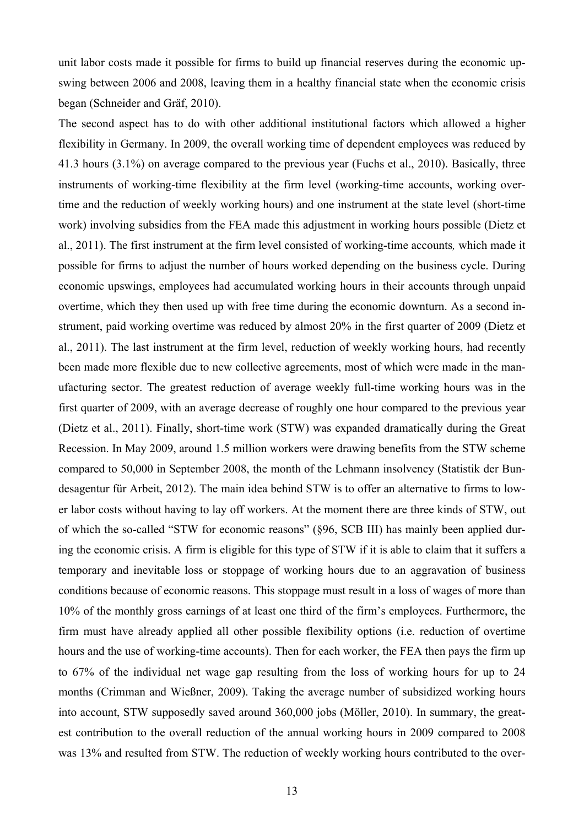unit labor costs made it possible for firms to build up financial reserves during the economic upswing between 2006 and 2008, leaving them in a healthy financial state when the economic crisis began (Schneider and Gräf, 2010).

The second aspect has to do with other additional institutional factors which allowed a higher flexibility in Germany. In 2009, the overall working time of dependent employees was reduced by 41.3 hours (3.1%) on average compared to the previous year (Fuchs et al., 2010). Basically, three instruments of working-time flexibility at the firm level (working-time accounts, working overtime and the reduction of weekly working hours) and one instrument at the state level (short-time work) involving subsidies from the FEA made this adjustment in working hours possible (Dietz et al., 2011). The first instrument at the firm level consisted of working-time accounts*,* which made it possible for firms to adjust the number of hours worked depending on the business cycle. During economic upswings, employees had accumulated working hours in their accounts through unpaid overtime, which they then used up with free time during the economic downturn. As a second instrument, paid working overtime was reduced by almost 20% in the first quarter of 2009 (Dietz et al., 2011). The last instrument at the firm level, reduction of weekly working hours, had recently been made more flexible due to new collective agreements, most of which were made in the manufacturing sector. The greatest reduction of average weekly full-time working hours was in the first quarter of 2009, with an average decrease of roughly one hour compared to the previous year (Dietz et al., 2011). Finally, short-time work (STW) was expanded dramatically during the Great Recession. In May 2009, around 1.5 million workers were drawing benefits from the STW scheme compared to 50,000 in September 2008, the month of the Lehmann insolvency (Statistik der Bundesagentur für Arbeit, 2012). The main idea behind STW is to offer an alternative to firms to lower labor costs without having to lay off workers. At the moment there are three kinds of STW, out of which the so-called "STW for economic reasons" (§96, SCB III) has mainly been applied during the economic crisis. A firm is eligible for this type of STW if it is able to claim that it suffers a temporary and inevitable loss or stoppage of working hours due to an aggravation of business conditions because of economic reasons. This stoppage must result in a loss of wages of more than 10% of the monthly gross earnings of at least one third of the firm's employees. Furthermore, the firm must have already applied all other possible flexibility options (i.e. reduction of overtime hours and the use of working-time accounts). Then for each worker, the FEA then pays the firm up to 67% of the individual net wage gap resulting from the loss of working hours for up to 24 months (Crimman and Wießner, 2009). Taking the average number of subsidized working hours into account, STW supposedly saved around 360,000 jobs (Möller, 2010). In summary, the greatest contribution to the overall reduction of the annual working hours in 2009 compared to 2008 was 13% and resulted from STW. The reduction of weekly working hours contributed to the over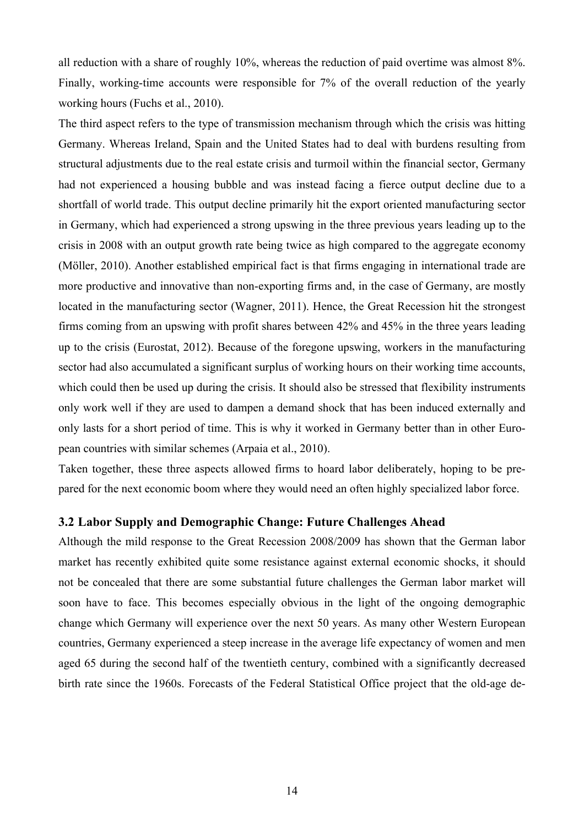all reduction with a share of roughly 10%, whereas the reduction of paid overtime was almost 8%. Finally, working-time accounts were responsible for 7% of the overall reduction of the yearly working hours (Fuchs et al., 2010).

The third aspect refers to the type of transmission mechanism through which the crisis was hitting Germany. Whereas Ireland, Spain and the United States had to deal with burdens resulting from structural adjustments due to the real estate crisis and turmoil within the financial sector, Germany had not experienced a housing bubble and was instead facing a fierce output decline due to a shortfall of world trade. This output decline primarily hit the export oriented manufacturing sector in Germany, which had experienced a strong upswing in the three previous years leading up to the crisis in 2008 with an output growth rate being twice as high compared to the aggregate economy (Möller, 2010). Another established empirical fact is that firms engaging in international trade are more productive and innovative than non-exporting firms and, in the case of Germany, are mostly located in the manufacturing sector (Wagner, 2011). Hence, the Great Recession hit the strongest firms coming from an upswing with profit shares between 42% and 45% in the three years leading up to the crisis (Eurostat, 2012). Because of the foregone upswing, workers in the manufacturing sector had also accumulated a significant surplus of working hours on their working time accounts, which could then be used up during the crisis. It should also be stressed that flexibility instruments only work well if they are used to dampen a demand shock that has been induced externally and only lasts for a short period of time. This is why it worked in Germany better than in other European countries with similar schemes (Arpaia et al., 2010).

Taken together, these three aspects allowed firms to hoard labor deliberately, hoping to be prepared for the next economic boom where they would need an often highly specialized labor force.

# **3.2 Labor Supply and Demographic Change: Future Challenges Ahead**

Although the mild response to the Great Recession 2008/2009 has shown that the German labor market has recently exhibited quite some resistance against external economic shocks, it should not be concealed that there are some substantial future challenges the German labor market will soon have to face. This becomes especially obvious in the light of the ongoing demographic change which Germany will experience over the next 50 years. As many other Western European countries, Germany experienced a steep increase in the average life expectancy of women and men aged 65 during the second half of the twentieth century, combined with a significantly decreased birth rate since the 1960s. Forecasts of the Federal Statistical Office project that the old-age de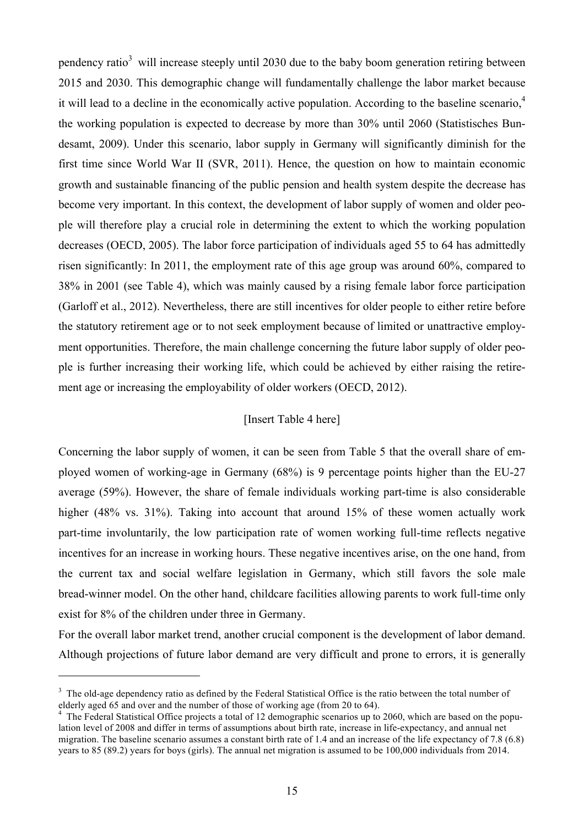pendency ratio<sup>3</sup> will increase steeply until 2030 due to the baby boom generation retiring between 2015 and 2030. This demographic change will fundamentally challenge the labor market because it will lead to a decline in the economically active population. According to the baseline scenario, 4 the working population is expected to decrease by more than 30% until 2060 (Statistisches Bundesamt, 2009). Under this scenario, labor supply in Germany will significantly diminish for the first time since World War II (SVR, 2011). Hence, the question on how to maintain economic growth and sustainable financing of the public pension and health system despite the decrease has become very important. In this context, the development of labor supply of women and older people will therefore play a crucial role in determining the extent to which the working population decreases (OECD, 2005). The labor force participation of individuals aged 55 to 64 has admittedly risen significantly: In 2011, the employment rate of this age group was around 60%, compared to 38% in 2001 (see Table 4), which was mainly caused by a rising female labor force participation (Garloff et al., 2012). Nevertheless, there are still incentives for older people to either retire before the statutory retirement age or to not seek employment because of limited or unattractive employment opportunities. Therefore, the main challenge concerning the future labor supply of older people is further increasing their working life, which could be achieved by either raising the retirement age or increasing the employability of older workers (OECD, 2012).

# [Insert Table 4 here]

Concerning the labor supply of women, it can be seen from Table 5 that the overall share of employed women of working-age in Germany (68%) is 9 percentage points higher than the EU-27 average (59%). However, the share of female individuals working part-time is also considerable higher (48% vs. 31%). Taking into account that around 15% of these women actually work part-time involuntarily, the low participation rate of women working full-time reflects negative incentives for an increase in working hours. These negative incentives arise, on the one hand, from the current tax and social welfare legislation in Germany, which still favors the sole male bread-winner model. On the other hand, childcare facilities allowing parents to work full-time only exist for 8% of the children under three in Germany.

For the overall labor market trend, another crucial component is the development of labor demand. Although projections of future labor demand are very difficult and prone to errors, it is generally

 $\overline{a}$ 

<sup>&</sup>lt;sup>3</sup> The old-age dependency ratio as defined by the Federal Statistical Office is the ratio between the total number of elderly aged 65 and over and the number of those of working age (from 20 to 64).<br><sup>4</sup> The Federal Statistical Office projects a total of 12 demographic scenarios up to 2060, which are based on the popu-

lation level of 2008 and differ in terms of assumptions about birth rate, increase in life-expectancy, and annual net migration. The baseline scenario assumes a constant birth rate of 1.4 and an increase of the life expectancy of 7.8 (6.8) years to 85 (89.2) years for boys (girls). The annual net migration is assumed to be 100,000 individuals from 2014.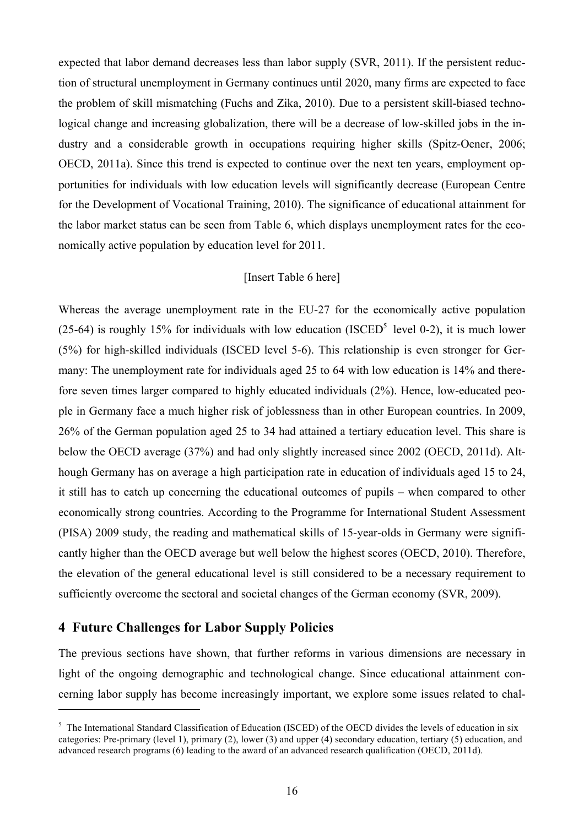expected that labor demand decreases less than labor supply (SVR, 2011). If the persistent reduction of structural unemployment in Germany continues until 2020, many firms are expected to face the problem of skill mismatching (Fuchs and Zika, 2010). Due to a persistent skill-biased technological change and increasing globalization, there will be a decrease of low-skilled jobs in the industry and a considerable growth in occupations requiring higher skills (Spitz-Oener, 2006; OECD, 2011a). Since this trend is expected to continue over the next ten years, employment opportunities for individuals with low education levels will significantly decrease (European Centre for the Development of Vocational Training, 2010). The significance of educational attainment for the labor market status can be seen from Table 6, which displays unemployment rates for the economically active population by education level for 2011.

#### [Insert Table 6 here]

Whereas the average unemployment rate in the EU-27 for the economically active population (25-64) is roughly 15% for individuals with low education (ISCED<sup>5</sup> level 0-2), it is much lower (5%) for high-skilled individuals (ISCED level 5-6). This relationship is even stronger for Germany: The unemployment rate for individuals aged 25 to 64 with low education is 14% and therefore seven times larger compared to highly educated individuals (2%). Hence, low-educated people in Germany face a much higher risk of joblessness than in other European countries. In 2009, 26% of the German population aged 25 to 34 had attained a tertiary education level. This share is below the OECD average (37%) and had only slightly increased since 2002 (OECD, 2011d). Although Germany has on average a high participation rate in education of individuals aged 15 to 24, it still has to catch up concerning the educational outcomes of pupils – when compared to other economically strong countries. According to the Programme for International Student Assessment (PISA) 2009 study, the reading and mathematical skills of 15-year-olds in Germany were significantly higher than the OECD average but well below the highest scores (OECD, 2010). Therefore, the elevation of the general educational level is still considered to be a necessary requirement to sufficiently overcome the sectoral and societal changes of the German economy (SVR, 2009).

# **4 Future Challenges for Labor Supply Policies**

 $\overline{a}$ 

The previous sections have shown, that further reforms in various dimensions are necessary in light of the ongoing demographic and technological change. Since educational attainment concerning labor supply has become increasingly important, we explore some issues related to chal-

 $<sup>5</sup>$  The International Standard Classification of Education (ISCED) of the OECD divides the levels of education in six</sup> categories: Pre-primary (level 1), primary (2), lower (3) and upper (4) secondary education, tertiary (5) education, and advanced research programs (6) leading to the award of an advanced research qualification (OECD, 2011d).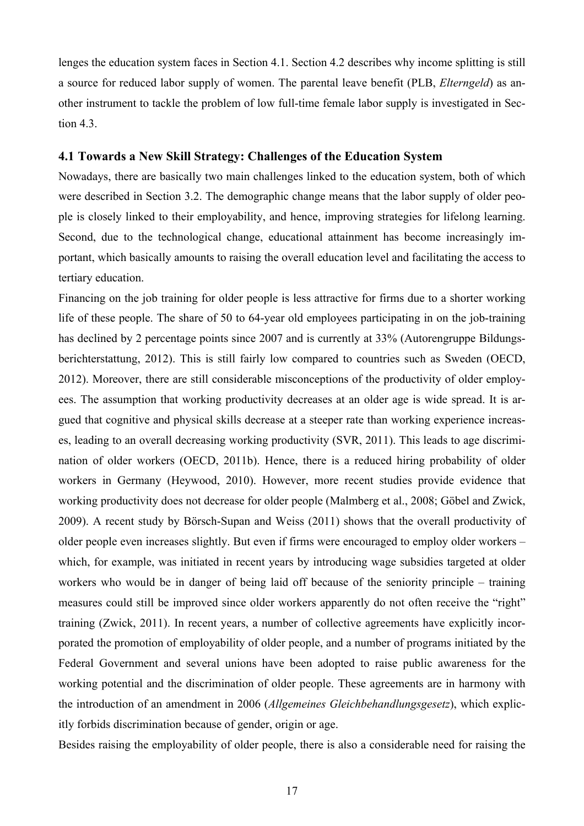lenges the education system faces in Section 4.1. Section 4.2 describes why income splitting is still a source for reduced labor supply of women. The parental leave benefit (PLB, *Elterngeld*) as another instrument to tackle the problem of low full-time female labor supply is investigated in Section 4.3.

# **4.1 Towards a New Skill Strategy: Challenges of the Education System**

Nowadays, there are basically two main challenges linked to the education system, both of which were described in Section 3.2. The demographic change means that the labor supply of older people is closely linked to their employability, and hence, improving strategies for lifelong learning. Second, due to the technological change, educational attainment has become increasingly important, which basically amounts to raising the overall education level and facilitating the access to tertiary education.

Financing on the job training for older people is less attractive for firms due to a shorter working life of these people. The share of 50 to 64-year old employees participating in on the job-training has declined by 2 percentage points since 2007 and is currently at 33% (Autorengruppe Bildungsberichterstattung, 2012). This is still fairly low compared to countries such as Sweden (OECD, 2012). Moreover, there are still considerable misconceptions of the productivity of older employees. The assumption that working productivity decreases at an older age is wide spread. It is argued that cognitive and physical skills decrease at a steeper rate than working experience increases, leading to an overall decreasing working productivity (SVR, 2011). This leads to age discrimination of older workers (OECD, 2011b). Hence, there is a reduced hiring probability of older workers in Germany (Heywood, 2010). However, more recent studies provide evidence that working productivity does not decrease for older people (Malmberg et al., 2008; Göbel and Zwick, 2009). A recent study by Börsch-Supan and Weiss (2011) shows that the overall productivity of older people even increases slightly. But even if firms were encouraged to employ older workers – which, for example, was initiated in recent years by introducing wage subsidies targeted at older workers who would be in danger of being laid off because of the seniority principle – training measures could still be improved since older workers apparently do not often receive the "right" training (Zwick, 2011). In recent years, a number of collective agreements have explicitly incorporated the promotion of employability of older people, and a number of programs initiated by the Federal Government and several unions have been adopted to raise public awareness for the working potential and the discrimination of older people. These agreements are in harmony with the introduction of an amendment in 2006 (*Allgemeines Gleichbehandlungsgesetz*), which explicitly forbids discrimination because of gender, origin or age.

Besides raising the employability of older people, there is also a considerable need for raising the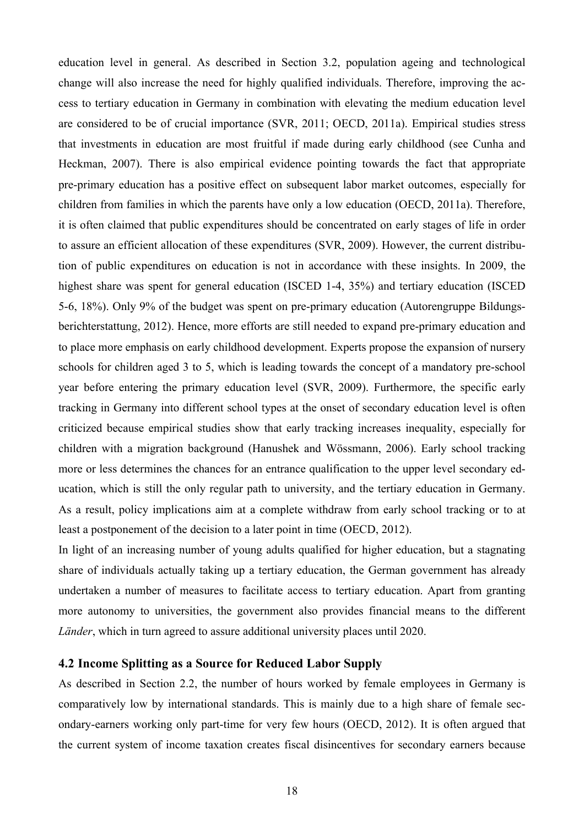education level in general. As described in Section 3.2, population ageing and technological change will also increase the need for highly qualified individuals. Therefore, improving the access to tertiary education in Germany in combination with elevating the medium education level are considered to be of crucial importance (SVR, 2011; OECD, 2011a). Empirical studies stress that investments in education are most fruitful if made during early childhood (see Cunha and Heckman, 2007). There is also empirical evidence pointing towards the fact that appropriate pre-primary education has a positive effect on subsequent labor market outcomes, especially for children from families in which the parents have only a low education (OECD, 2011a). Therefore, it is often claimed that public expenditures should be concentrated on early stages of life in order to assure an efficient allocation of these expenditures (SVR, 2009). However, the current distribution of public expenditures on education is not in accordance with these insights. In 2009, the highest share was spent for general education (ISCED 1-4, 35%) and tertiary education (ISCED 5-6, 18%). Only 9% of the budget was spent on pre-primary education (Autorengruppe Bildungsberichterstattung, 2012). Hence, more efforts are still needed to expand pre-primary education and to place more emphasis on early childhood development. Experts propose the expansion of nursery schools for children aged 3 to 5, which is leading towards the concept of a mandatory pre-school year before entering the primary education level (SVR, 2009). Furthermore, the specific early tracking in Germany into different school types at the onset of secondary education level is often criticized because empirical studies show that early tracking increases inequality, especially for children with a migration background (Hanushek and Wössmann, 2006). Early school tracking more or less determines the chances for an entrance qualification to the upper level secondary education, which is still the only regular path to university, and the tertiary education in Germany. As a result, policy implications aim at a complete withdraw from early school tracking or to at least a postponement of the decision to a later point in time (OECD, 2012).

In light of an increasing number of young adults qualified for higher education, but a stagnating share of individuals actually taking up a tertiary education, the German government has already undertaken a number of measures to facilitate access to tertiary education. Apart from granting more autonomy to universities, the government also provides financial means to the different *Länder*, which in turn agreed to assure additional university places until 2020.

# **4.2 Income Splitting as a Source for Reduced Labor Supply**

As described in Section 2.2, the number of hours worked by female employees in Germany is comparatively low by international standards. This is mainly due to a high share of female secondary-earners working only part-time for very few hours (OECD, 2012). It is often argued that the current system of income taxation creates fiscal disincentives for secondary earners because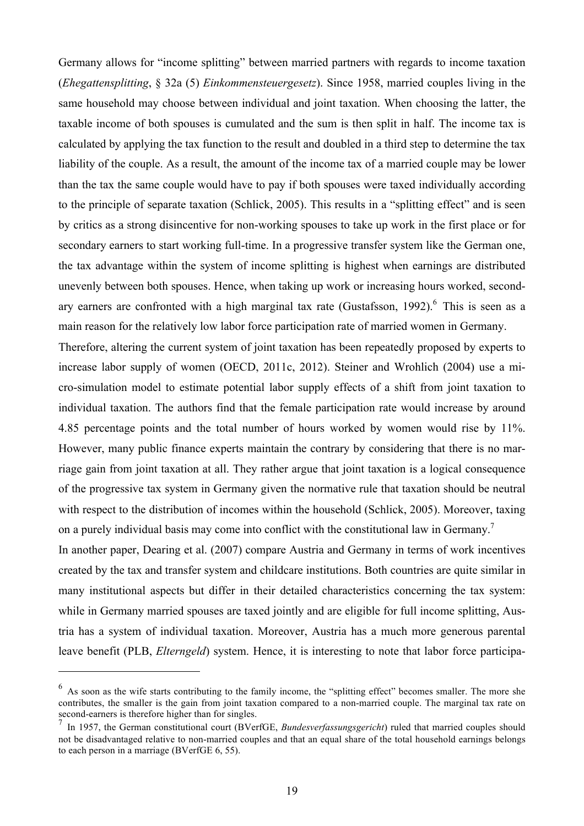Germany allows for "income splitting" between married partners with regards to income taxation (*Ehegattensplitting*, § 32a (5) *Einkommensteuergesetz*). Since 1958, married couples living in the same household may choose between individual and joint taxation. When choosing the latter, the taxable income of both spouses is cumulated and the sum is then split in half. The income tax is calculated by applying the tax function to the result and doubled in a third step to determine the tax liability of the couple. As a result, the amount of the income tax of a married couple may be lower than the tax the same couple would have to pay if both spouses were taxed individually according to the principle of separate taxation (Schlick, 2005). This results in a "splitting effect" and is seen by critics as a strong disincentive for non-working spouses to take up work in the first place or for secondary earners to start working full-time. In a progressive transfer system like the German one, the tax advantage within the system of income splitting is highest when earnings are distributed unevenly between both spouses. Hence, when taking up work or increasing hours worked, secondary earners are confronted with a high marginal tax rate (Gustafsson, 1992).<sup>6</sup> This is seen as a main reason for the relatively low labor force participation rate of married women in Germany.

Therefore, altering the current system of joint taxation has been repeatedly proposed by experts to increase labor supply of women (OECD, 2011c, 2012). Steiner and Wrohlich (2004) use a micro-simulation model to estimate potential labor supply effects of a shift from joint taxation to individual taxation. The authors find that the female participation rate would increase by around 4.85 percentage points and the total number of hours worked by women would rise by 11%. However, many public finance experts maintain the contrary by considering that there is no marriage gain from joint taxation at all. They rather argue that joint taxation is a logical consequence of the progressive tax system in Germany given the normative rule that taxation should be neutral with respect to the distribution of incomes within the household (Schlick, 2005). Moreover, taxing on a purely individual basis may come into conflict with the constitutional law in Germany.<sup>7</sup>

In another paper, Dearing et al. (2007) compare Austria and Germany in terms of work incentives created by the tax and transfer system and childcare institutions. Both countries are quite similar in many institutional aspects but differ in their detailed characteristics concerning the tax system: while in Germany married spouses are taxed jointly and are eligible for full income splitting, Austria has a system of individual taxation. Moreover, Austria has a much more generous parental leave benefit (PLB, *Elterngeld*) system. Hence, it is interesting to note that labor force participa-

 $\overline{a}$ 

 $6\text{ As soon as the wife starts contributing to the family income, the "splitting effect" becomes smaller. The more she$ contributes, the smaller is the gain from joint taxation compared to a non-married couple. The marginal tax rate on second-earners is therefore higher than for singles.

<sup>7</sup> In 1957, the German constitutional court (BVerfGE, *Bundesverfassungsgericht*) ruled that married couples should not be disadvantaged relative to non-married couples and that an equal share of the total household earnings belongs to each person in a marriage (BVerfGE 6, 55).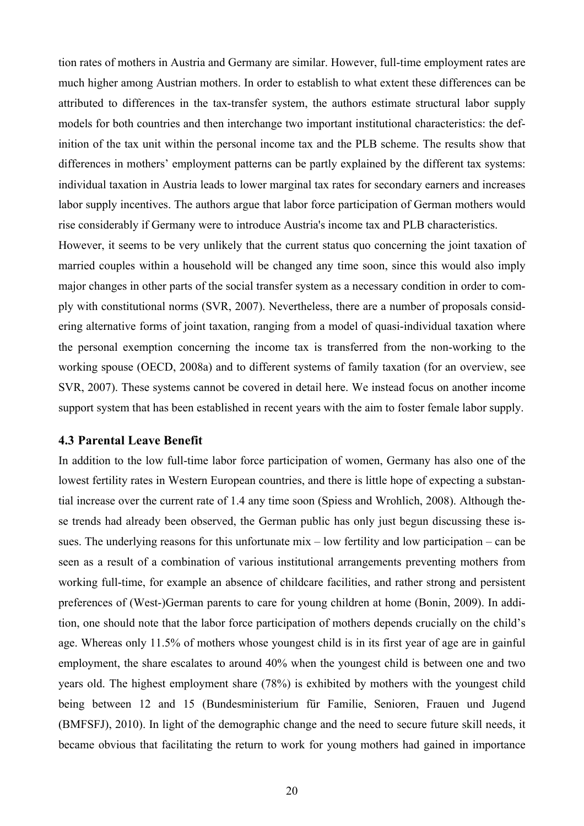tion rates of mothers in Austria and Germany are similar. However, full-time employment rates are much higher among Austrian mothers. In order to establish to what extent these differences can be attributed to differences in the tax-transfer system, the authors estimate structural labor supply models for both countries and then interchange two important institutional characteristics: the definition of the tax unit within the personal income tax and the PLB scheme. The results show that differences in mothers' employment patterns can be partly explained by the different tax systems: individual taxation in Austria leads to lower marginal tax rates for secondary earners and increases labor supply incentives. The authors argue that labor force participation of German mothers would rise considerably if Germany were to introduce Austria's income tax and PLB characteristics.

However, it seems to be very unlikely that the current status quo concerning the joint taxation of married couples within a household will be changed any time soon, since this would also imply major changes in other parts of the social transfer system as a necessary condition in order to comply with constitutional norms (SVR, 2007). Nevertheless, there are a number of proposals considering alternative forms of joint taxation, ranging from a model of quasi-individual taxation where the personal exemption concerning the income tax is transferred from the non-working to the working spouse (OECD, 2008a) and to different systems of family taxation (for an overview, see SVR, 2007). These systems cannot be covered in detail here. We instead focus on another income support system that has been established in recent years with the aim to foster female labor supply.

## **4.3 Parental Leave Benefit**

In addition to the low full-time labor force participation of women, Germany has also one of the lowest fertility rates in Western European countries, and there is little hope of expecting a substantial increase over the current rate of 1.4 any time soon (Spiess and Wrohlich, 2008). Although these trends had already been observed, the German public has only just begun discussing these issues. The underlying reasons for this unfortunate mix – low fertility and low participation – can be seen as a result of a combination of various institutional arrangements preventing mothers from working full-time, for example an absence of childcare facilities, and rather strong and persistent preferences of (West-)German parents to care for young children at home (Bonin, 2009). In addition, one should note that the labor force participation of mothers depends crucially on the child's age. Whereas only 11.5% of mothers whose youngest child is in its first year of age are in gainful employment, the share escalates to around 40% when the youngest child is between one and two years old. The highest employment share (78%) is exhibited by mothers with the youngest child being between 12 and 15 (Bundesministerium für Familie, Senioren, Frauen und Jugend (BMFSFJ), 2010). In light of the demographic change and the need to secure future skill needs, it became obvious that facilitating the return to work for young mothers had gained in importance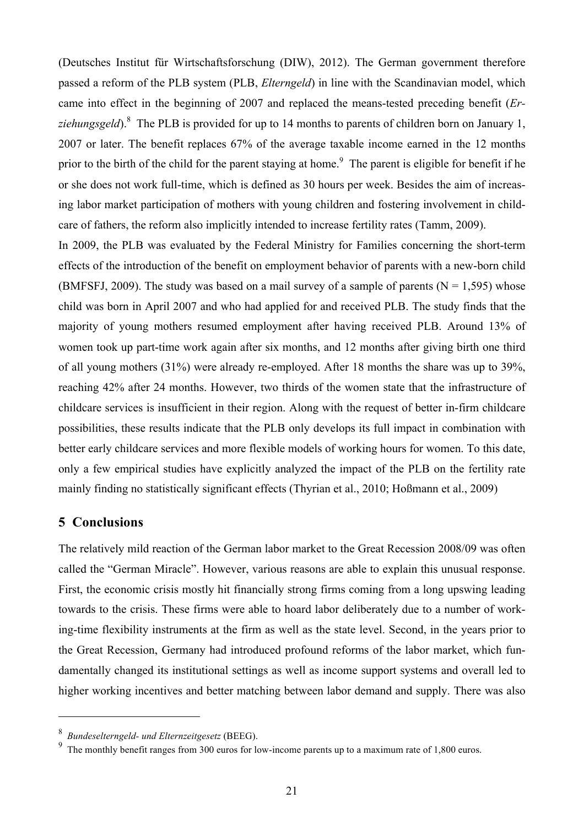(Deutsches Institut für Wirtschaftsforschung (DIW), 2012). The German government therefore passed a reform of the PLB system (PLB, *Elterngeld*) in line with the Scandinavian model, which came into effect in the beginning of 2007 and replaced the means-tested preceding benefit (*Er*ziehungsgeld).<sup>8</sup> The PLB is provided for up to 14 months to parents of children born on January 1, 2007 or later. The benefit replaces 67% of the average taxable income earned in the 12 months prior to the birth of the child for the parent staying at home.<sup>9</sup> The parent is eligible for benefit if he or she does not work full-time, which is defined as 30 hours per week. Besides the aim of increasing labor market participation of mothers with young children and fostering involvement in childcare of fathers, the reform also implicitly intended to increase fertility rates (Tamm, 2009).

In 2009, the PLB was evaluated by the Federal Ministry for Families concerning the short-term effects of the introduction of the benefit on employment behavior of parents with a new-born child (BMFSFJ, 2009). The study was based on a mail survey of a sample of parents ( $N = 1,595$ ) whose child was born in April 2007 and who had applied for and received PLB. The study finds that the majority of young mothers resumed employment after having received PLB. Around 13% of women took up part-time work again after six months, and 12 months after giving birth one third of all young mothers (31%) were already re-employed. After 18 months the share was up to 39%, reaching 42% after 24 months. However, two thirds of the women state that the infrastructure of childcare services is insufficient in their region. Along with the request of better in-firm childcare possibilities, these results indicate that the PLB only develops its full impact in combination with better early childcare services and more flexible models of working hours for women. To this date, only a few empirical studies have explicitly analyzed the impact of the PLB on the fertility rate mainly finding no statistically significant effects (Thyrian et al., 2010; Hoßmann et al., 2009)

# **5 Conclusions**

 $\overline{a}$ 

The relatively mild reaction of the German labor market to the Great Recession 2008/09 was often called the "German Miracle". However, various reasons are able to explain this unusual response. First, the economic crisis mostly hit financially strong firms coming from a long upswing leading towards to the crisis. These firms were able to hoard labor deliberately due to a number of working-time flexibility instruments at the firm as well as the state level. Second, in the years prior to the Great Recession, Germany had introduced profound reforms of the labor market, which fundamentally changed its institutional settings as well as income support systems and overall led to higher working incentives and better matching between labor demand and supply. There was also

<sup>8</sup> *Bundeselterngeld- und Elternzeitgesetz* (BEEG).

<sup>&</sup>lt;sup>9</sup> The monthly benefit ranges from 300 euros for low-income parents up to a maximum rate of 1,800 euros.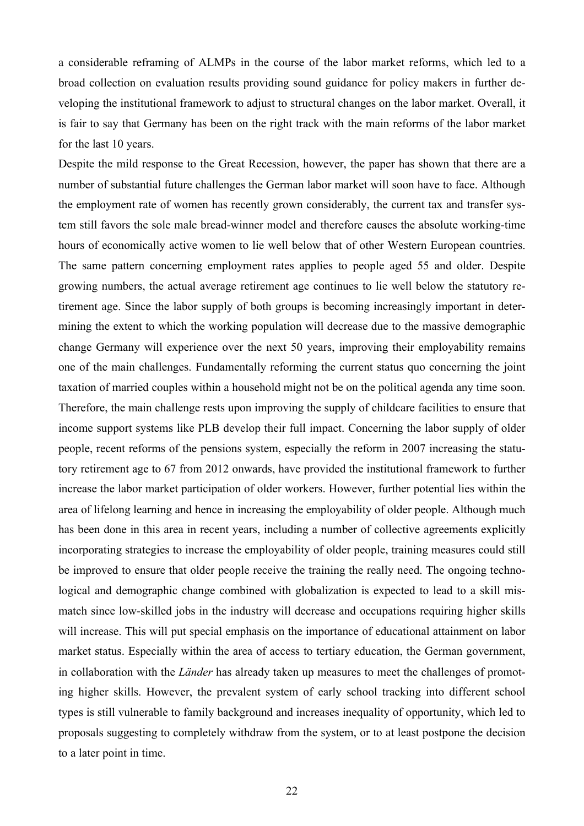a considerable reframing of ALMPs in the course of the labor market reforms, which led to a broad collection on evaluation results providing sound guidance for policy makers in further developing the institutional framework to adjust to structural changes on the labor market. Overall, it is fair to say that Germany has been on the right track with the main reforms of the labor market for the last 10 years.

Despite the mild response to the Great Recession, however, the paper has shown that there are a number of substantial future challenges the German labor market will soon have to face. Although the employment rate of women has recently grown considerably, the current tax and transfer system still favors the sole male bread-winner model and therefore causes the absolute working-time hours of economically active women to lie well below that of other Western European countries. The same pattern concerning employment rates applies to people aged 55 and older. Despite growing numbers, the actual average retirement age continues to lie well below the statutory retirement age. Since the labor supply of both groups is becoming increasingly important in determining the extent to which the working population will decrease due to the massive demographic change Germany will experience over the next 50 years, improving their employability remains one of the main challenges. Fundamentally reforming the current status quo concerning the joint taxation of married couples within a household might not be on the political agenda any time soon. Therefore, the main challenge rests upon improving the supply of childcare facilities to ensure that income support systems like PLB develop their full impact. Concerning the labor supply of older people, recent reforms of the pensions system, especially the reform in 2007 increasing the statutory retirement age to 67 from 2012 onwards, have provided the institutional framework to further increase the labor market participation of older workers. However, further potential lies within the area of lifelong learning and hence in increasing the employability of older people. Although much has been done in this area in recent years, including a number of collective agreements explicitly incorporating strategies to increase the employability of older people, training measures could still be improved to ensure that older people receive the training the really need. The ongoing technological and demographic change combined with globalization is expected to lead to a skill mismatch since low-skilled jobs in the industry will decrease and occupations requiring higher skills will increase. This will put special emphasis on the importance of educational attainment on labor market status. Especially within the area of access to tertiary education, the German government, in collaboration with the *Länder* has already taken up measures to meet the challenges of promoting higher skills. However, the prevalent system of early school tracking into different school types is still vulnerable to family background and increases inequality of opportunity, which led to proposals suggesting to completely withdraw from the system, or to at least postpone the decision to a later point in time.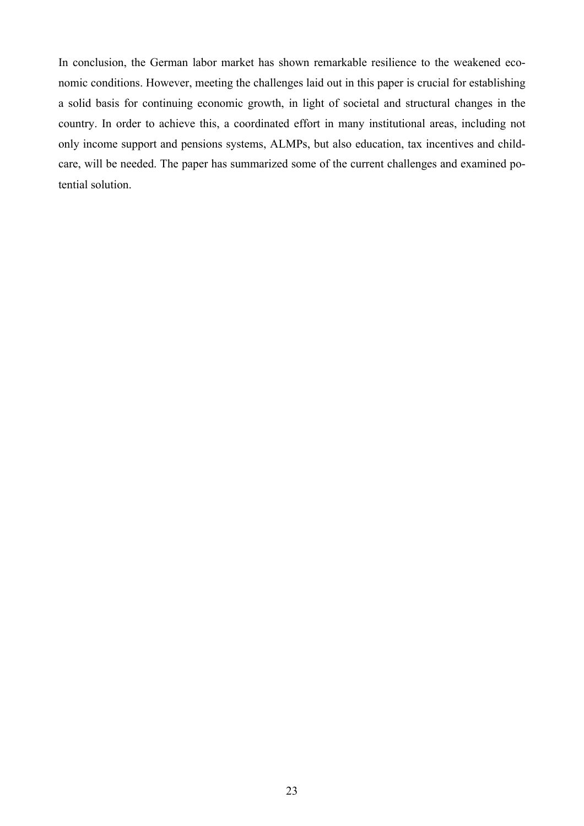In conclusion, the German labor market has shown remarkable resilience to the weakened economic conditions. However, meeting the challenges laid out in this paper is crucial for establishing a solid basis for continuing economic growth, in light of societal and structural changes in the country. In order to achieve this, a coordinated effort in many institutional areas, including not only income support and pensions systems, ALMPs, but also education, tax incentives and childcare, will be needed. The paper has summarized some of the current challenges and examined potential solution.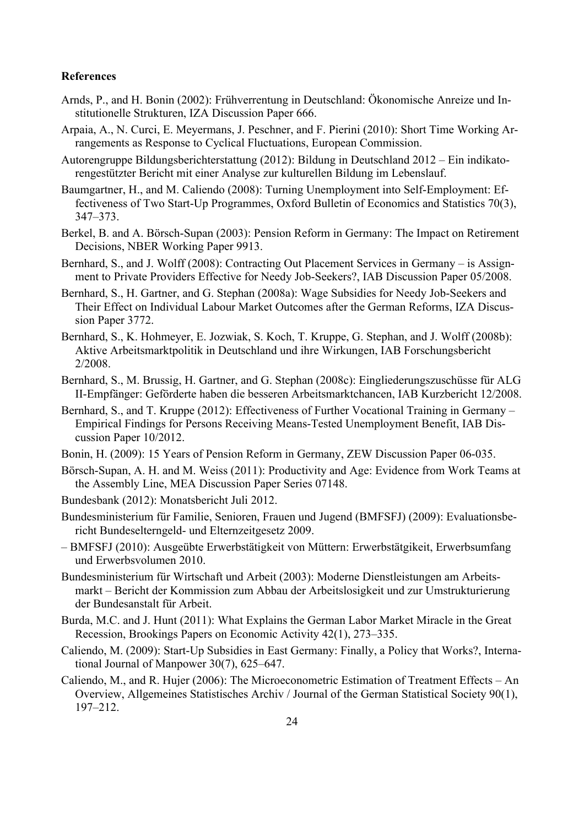#### **References**

- Arnds, P., and H. Bonin (2002): Frühverrentung in Deutschland: Ökonomische Anreize und Institutionelle Strukturen, IZA Discussion Paper 666.
- Arpaia, A., N. Curci, E. Meyermans, J. Peschner, and F. Pierini (2010): Short Time Working Arrangements as Response to Cyclical Fluctuations, European Commission.
- Autorengruppe Bildungsberichterstattung (2012): Bildung in Deutschland 2012 Ein indikatorengestützter Bericht mit einer Analyse zur kulturellen Bildung im Lebenslauf.
- Baumgartner, H., and M. Caliendo (2008): Turning Unemployment into Self-Employment: Effectiveness of Two Start-Up Programmes, Oxford Bulletin of Economics and Statistics 70(3), 347–373.
- Berkel, B. and A. Börsch-Supan (2003): Pension Reform in Germany: The Impact on Retirement Decisions, NBER Working Paper 9913.
- Bernhard, S., and J. Wolff (2008): Contracting Out Placement Services in Germany is Assignment to Private Providers Effective for Needy Job-Seekers?, IAB Discussion Paper 05/2008.
- Bernhard, S., H. Gartner, and G. Stephan (2008a): Wage Subsidies for Needy Job-Seekers and Their Effect on Individual Labour Market Outcomes after the German Reforms, IZA Discussion Paper 3772.
- Bernhard, S., K. Hohmeyer, E. Jozwiak, S. Koch, T. Kruppe, G. Stephan, and J. Wolff (2008b): Aktive Arbeitsmarktpolitik in Deutschland und ihre Wirkungen, IAB Forschungsbericht 2/2008.
- Bernhard, S., M. Brussig, H. Gartner, and G. Stephan (2008c): Eingliederungszuschüsse für ALG II-Empfänger: Geförderte haben die besseren Arbeitsmarktchancen, IAB Kurzbericht 12/2008.
- Bernhard, S., and T. Kruppe (2012): Effectiveness of Further Vocational Training in Germany Empirical Findings for Persons Receiving Means-Tested Unemployment Benefit, IAB Discussion Paper 10/2012.
- Bonin, H. (2009): 15 Years of Pension Reform in Germany, ZEW Discussion Paper 06-035.
- Börsch-Supan, A. H. and M. Weiss (2011): Productivity and Age: Evidence from Work Teams at the Assembly Line, MEA Discussion Paper Series 07148.
- Bundesbank (2012): Monatsbericht Juli 2012.
- Bundesministerium für Familie, Senioren, Frauen und Jugend (BMFSFJ) (2009): Evaluationsbericht Bundeselterngeld- und Elternzeitgesetz 2009.
- BMFSFJ (2010): Ausgeübte Erwerbstätigkeit von Müttern: Erwerbstätgikeit, Erwerbsumfang und Erwerbsvolumen 2010.
- Bundesministerium für Wirtschaft und Arbeit (2003): Moderne Dienstleistungen am Arbeitsmarkt – Bericht der Kommission zum Abbau der Arbeitslosigkeit und zur Umstrukturierung der Bundesanstalt für Arbeit.
- Burda, M.C. and J. Hunt (2011): What Explains the German Labor Market Miracle in the Great Recession, Brookings Papers on Economic Activity 42(1), 273–335.
- Caliendo, M. (2009): Start-Up Subsidies in East Germany: Finally, a Policy that Works?, International Journal of Manpower 30(7), 625–647.
- Caliendo, M., and R. Hujer (2006): The Microeconometric Estimation of Treatment Effects An Overview, Allgemeines Statistisches Archiv / Journal of the German Statistical Society 90(1), 197–212.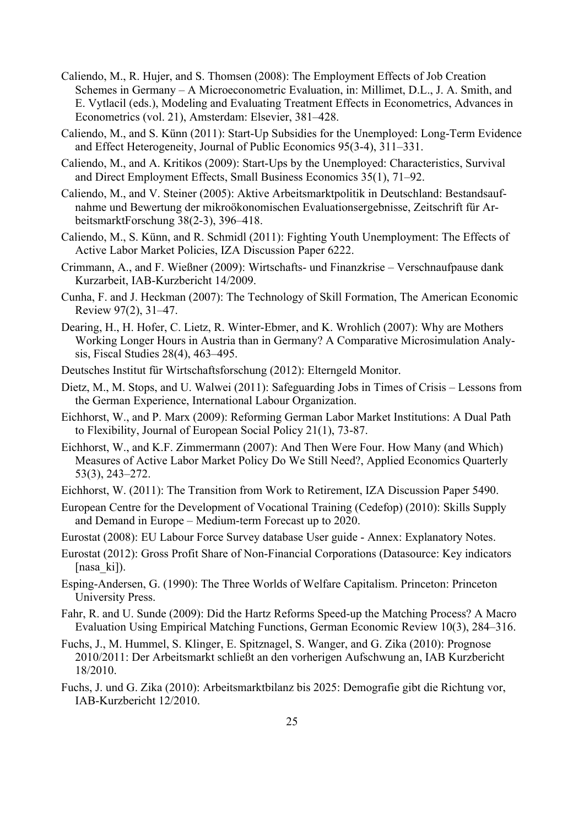- Caliendo, M., R. Hujer, and S. Thomsen (2008): The Employment Effects of Job Creation Schemes in Germany – A Microeconometric Evaluation, in: Millimet, D.L., J. A. Smith, and E. Vytlacil (eds.), Modeling and Evaluating Treatment Effects in Econometrics, Advances in Econometrics (vol. 21), Amsterdam: Elsevier, 381–428.
- Caliendo, M., and S. Künn (2011): Start-Up Subsidies for the Unemployed: Long-Term Evidence and Effect Heterogeneity, Journal of Public Economics 95(3-4), 311–331.
- Caliendo, M., and A. Kritikos (2009): Start-Ups by the Unemployed: Characteristics, Survival and Direct Employment Effects, Small Business Economics 35(1), 71–92.
- Caliendo, M., and V. Steiner (2005): Aktive Arbeitsmarktpolitik in Deutschland: Bestandsaufnahme und Bewertung der mikroökonomischen Evaluationsergebnisse, Zeitschrift für ArbeitsmarktForschung 38(2-3), 396–418.
- Caliendo, M., S. Künn, and R. Schmidl (2011): Fighting Youth Unemployment: The Effects of Active Labor Market Policies, IZA Discussion Paper 6222.
- Crimmann, A., and F. Wießner (2009): Wirtschafts- und Finanzkrise Verschnaufpause dank Kurzarbeit, IAB-Kurzbericht 14/2009.
- Cunha, F. and J. Heckman (2007): The Technology of Skill Formation, The American Economic Review 97(2), 31–47.
- Dearing, H., H. Hofer, C. Lietz, R. Winter-Ebmer, and K. Wrohlich (2007): Why are Mothers Working Longer Hours in Austria than in Germany? A Comparative Microsimulation Analysis, Fiscal Studies 28(4), 463–495.
- Deutsches Institut für Wirtschaftsforschung (2012): Elterngeld Monitor.
- Dietz, M., M. Stops, and U. Walwei (2011): Safeguarding Jobs in Times of Crisis Lessons from the German Experience, International Labour Organization.
- Eichhorst, W., and P. Marx (2009): Reforming German Labor Market Institutions: A Dual Path to Flexibility, Journal of European Social Policy 21(1), 73-87.
- Eichhorst, W., and K.F. Zimmermann (2007): And Then Were Four. How Many (and Which) Measures of Active Labor Market Policy Do We Still Need?, Applied Economics Quarterly 53(3), 243–272.
- Eichhorst, W. (2011): The Transition from Work to Retirement, IZA Discussion Paper 5490.
- European Centre for the Development of Vocational Training (Cedefop) (2010): Skills Supply and Demand in Europe – Medium-term Forecast up to 2020.
- Eurostat (2008): EU Labour Force Survey database User guide Annex: Explanatory Notes.
- Eurostat (2012): Gross Profit Share of Non-Financial Corporations (Datasource: Key indicators [nasa ki]).
- Esping-Andersen, G. (1990): The Three Worlds of Welfare Capitalism. Princeton: Princeton University Press.
- Fahr, R. and U. Sunde (2009): Did the Hartz Reforms Speed-up the Matching Process? A Macro Evaluation Using Empirical Matching Functions, German Economic Review 10(3), 284–316.
- Fuchs, J., M. Hummel, S. Klinger, E. Spitznagel, S. Wanger, and G. Zika (2010): Prognose 2010/2011: Der Arbeitsmarkt schließt an den vorherigen Aufschwung an, IAB Kurzbericht 18/2010.
- Fuchs, J. und G. Zika (2010): Arbeitsmarktbilanz bis 2025: Demografie gibt die Richtung vor, IAB-Kurzbericht 12/2010.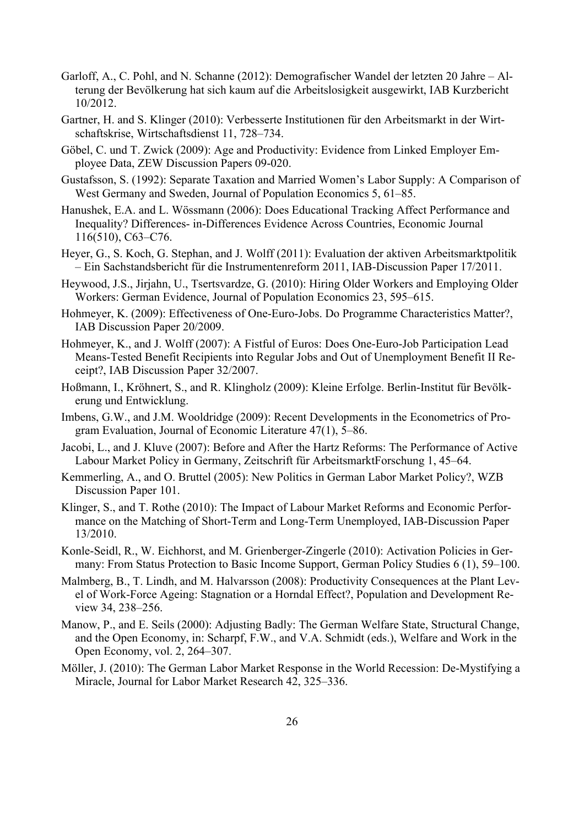- Garloff, A., C. Pohl, and N. Schanne (2012): Demografischer Wandel der letzten 20 Jahre Alterung der Bevölkerung hat sich kaum auf die Arbeitslosigkeit ausgewirkt, IAB Kurzbericht 10/2012.
- Gartner, H. and S. Klinger (2010): Verbesserte Institutionen für den Arbeitsmarkt in der Wirtschaftskrise, Wirtschaftsdienst 11, 728–734.
- Göbel, C. und T. Zwick (2009): Age and Productivity: Evidence from Linked Employer Employee Data, ZEW Discussion Papers 09-020.
- Gustafsson, S. (1992): Separate Taxation and Married Women's Labor Supply: A Comparison of West Germany and Sweden, Journal of Population Economics 5, 61–85.
- Hanushek, E.A. and L. Wössmann (2006): Does Educational Tracking Affect Performance and Inequality? Differences- in-Differences Evidence Across Countries, Economic Journal 116(510), C63–C76.
- Heyer, G., S. Koch, G. Stephan, and J. Wolff (2011): Evaluation der aktiven Arbeitsmarktpolitik – Ein Sachstandsbericht für die Instrumentenreform 2011, IAB-Discussion Paper 17/2011.
- Heywood, J.S., Jirjahn, U., Tsertsvardze, G. (2010): Hiring Older Workers and Employing Older Workers: German Evidence, Journal of Population Economics 23, 595–615.
- Hohmeyer, K. (2009): Effectiveness of One-Euro-Jobs. Do Programme Characteristics Matter?, IAB Discussion Paper 20/2009.
- Hohmeyer, K., and J. Wolff (2007): A Fistful of Euros: Does One-Euro-Job Participation Lead Means-Tested Benefit Recipients into Regular Jobs and Out of Unemployment Benefit II Receipt?, IAB Discussion Paper 32/2007.
- Hoßmann, I., Kröhnert, S., and R. Klingholz (2009): Kleine Erfolge. Berlin-Institut für Bevölkerung und Entwicklung.
- Imbens, G.W., and J.M. Wooldridge (2009): Recent Developments in the Econometrics of Program Evaluation, Journal of Economic Literature 47(1), 5–86.
- Jacobi, L., and J. Kluve (2007): Before and After the Hartz Reforms: The Performance of Active Labour Market Policy in Germany, Zeitschrift für ArbeitsmarktForschung 1, 45–64.
- Kemmerling, A., and O. Bruttel (2005): New Politics in German Labor Market Policy?, WZB Discussion Paper 101.
- Klinger, S., and T. Rothe (2010): The Impact of Labour Market Reforms and Economic Performance on the Matching of Short-Term and Long-Term Unemployed, IAB-Discussion Paper 13/2010.
- Konle-Seidl, R., W. Eichhorst, and M. Grienberger-Zingerle (2010): Activation Policies in Germany: From Status Protection to Basic Income Support, German Policy Studies 6 (1), 59–100.
- Malmberg, B., T. Lindh, and M. Halvarsson (2008): Productivity Consequences at the Plant Level of Work-Force Ageing: Stagnation or a Horndal Effect?, Population and Development Review 34, 238–256.
- Manow, P., and E. Seils (2000): Adjusting Badly: The German Welfare State, Structural Change, and the Open Economy, in: Scharpf, F.W., and V.A. Schmidt (eds.), Welfare and Work in the Open Economy, vol. 2, 264–307.
- Möller, J. (2010): The German Labor Market Response in the World Recession: De-Mystifying a Miracle, Journal for Labor Market Research 42, 325–336.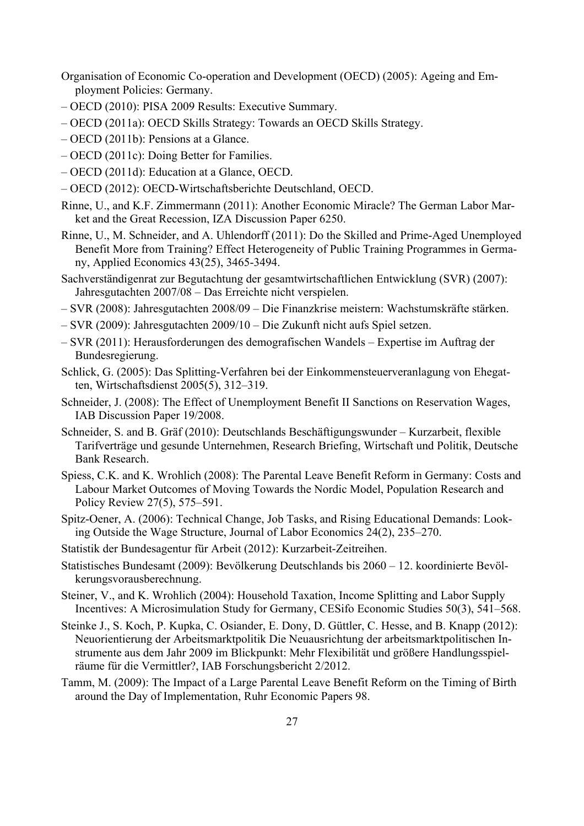Organisation of Economic Co-operation and Development (OECD) (2005): Ageing and Employment Policies: Germany.

- OECD (2010): PISA 2009 Results: Executive Summary.
- OECD (2011a): OECD Skills Strategy: Towards an OECD Skills Strategy.
- OECD (2011b): Pensions at a Glance.
- OECD (2011c): Doing Better for Families.
- OECD (2011d): Education at a Glance, OECD.
- OECD (2012): OECD-Wirtschaftsberichte Deutschland, OECD.
- Rinne, U., and K.F. Zimmermann (2011): Another Economic Miracle? The German Labor Market and the Great Recession, IZA Discussion Paper 6250.
- Rinne, U., M. Schneider, and A. Uhlendorff (2011): Do the Skilled and Prime-Aged Unemployed Benefit More from Training? Effect Heterogeneity of Public Training Programmes in Germany, Applied Economics 43(25), 3465-3494.
- Sachverständigenrat zur Begutachtung der gesamtwirtschaftlichen Entwicklung (SVR) (2007): Jahresgutachten 2007/08 – Das Erreichte nicht verspielen.
- SVR (2008): Jahresgutachten 2008/09 Die Finanzkrise meistern: Wachstumskräfte stärken.
- SVR (2009): Jahresgutachten 2009/10 Die Zukunft nicht aufs Spiel setzen.
- SVR (2011): Herausforderungen des demografischen Wandels Expertise im Auftrag der Bundesregierung.
- Schlick, G. (2005): Das Splitting-Verfahren bei der Einkommensteuerveranlagung von Ehegatten, Wirtschaftsdienst 2005(5), 312–319.
- Schneider, J. (2008): The Effect of Unemployment Benefit II Sanctions on Reservation Wages, IAB Discussion Paper 19/2008.
- Schneider, S. and B. Gräf (2010): Deutschlands Beschäftigungswunder Kurzarbeit, flexible Tarifverträge und gesunde Unternehmen, Research Briefing, Wirtschaft und Politik, Deutsche Bank Research.
- Spiess, C.K. and K. Wrohlich (2008): The Parental Leave Benefit Reform in Germany: Costs and Labour Market Outcomes of Moving Towards the Nordic Model, Population Research and Policy Review 27(5), 575–591.
- Spitz-Oener, A. (2006): Technical Change, Job Tasks, and Rising Educational Demands: Looking Outside the Wage Structure, Journal of Labor Economics 24(2), 235–270.
- Statistik der Bundesagentur für Arbeit (2012): Kurzarbeit-Zeitreihen.
- Statistisches Bundesamt (2009): Bevölkerung Deutschlands bis 2060 12. koordinierte Bevölkerungsvorausberechnung.
- Steiner, V., and K. Wrohlich (2004): Household Taxation, Income Splitting and Labor Supply Incentives: A Microsimulation Study for Germany, CESifo Economic Studies 50(3), 541–568.
- Steinke J., S. Koch, P. Kupka, C. Osiander, E. Dony, D. Güttler, C. Hesse, and B. Knapp (2012): Neuorientierung der Arbeitsmarktpolitik Die Neuausrichtung der arbeitsmarktpolitischen Instrumente aus dem Jahr 2009 im Blickpunkt: Mehr Flexibilität und größere Handlungsspielräume für die Vermittler?, IAB Forschungsbericht 2/2012.
- Tamm, M. (2009): The Impact of a Large Parental Leave Benefit Reform on the Timing of Birth around the Day of Implementation, Ruhr Economic Papers 98.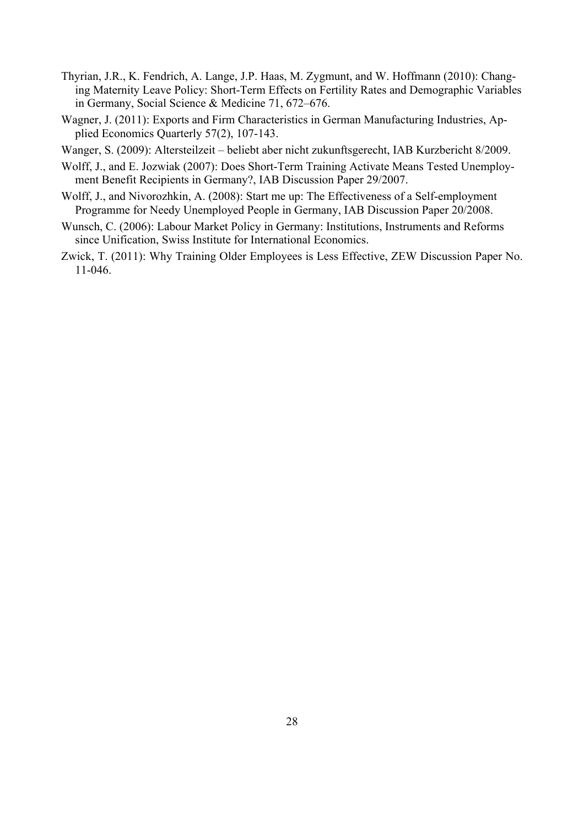- Thyrian, J.R., K. Fendrich, A. Lange, J.P. Haas, M. Zygmunt, and W. Hoffmann (2010): Changing Maternity Leave Policy: Short-Term Effects on Fertility Rates and Demographic Variables in Germany, Social Science & Medicine 71, 672–676.
- Wagner, J. (2011): Exports and Firm Characteristics in German Manufacturing Industries, Applied Economics Quarterly 57(2), 107-143.
- Wanger, S. (2009): Altersteilzeit beliebt aber nicht zukunftsgerecht, IAB Kurzbericht 8/2009.
- Wolff, J., and E. Jozwiak (2007): Does Short-Term Training Activate Means Tested Unemployment Benefit Recipients in Germany?, IAB Discussion Paper 29/2007.
- Wolff, J., and Nivorozhkin, A. (2008): Start me up: The Effectiveness of a Self-employment Programme for Needy Unemployed People in Germany, IAB Discussion Paper 20/2008.
- Wunsch, C. (2006): Labour Market Policy in Germany: Institutions, Instruments and Reforms since Unification, Swiss Institute for International Economics.
- Zwick, T. (2011): Why Training Older Employees is Less Effective, ZEW Discussion Paper No. 11-046.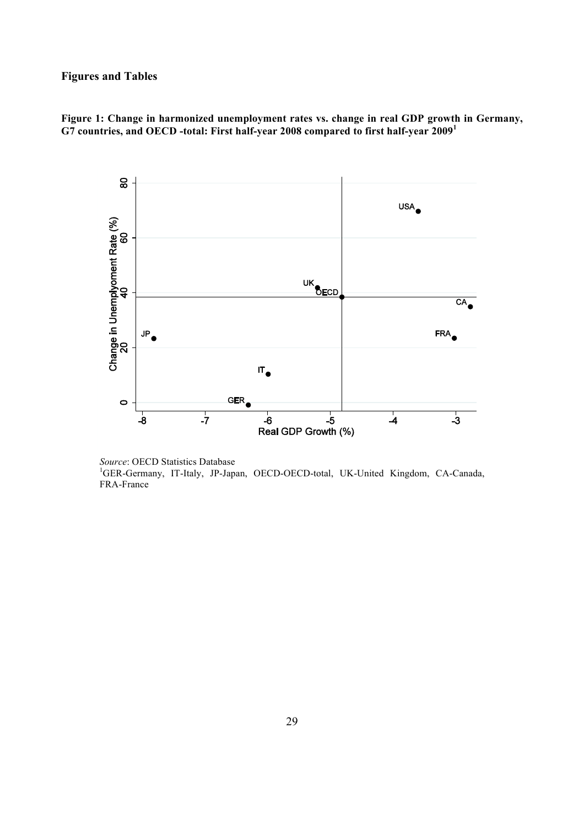# **Figures and Tables**

**Figure 1: Change in harmonized unemployment rates vs. change in real GDP growth in Germany, G7 countries, and OECD -total: First half-year 2008 compared to first half-year 2009<sup>1</sup>**



Source: OECD Statistics Database<br><sup>1</sup>GER-Germany, IT-Italy, JP-Japan, OECD-OECD-total, UK-United Kingdom, CA-Canada, FRA-France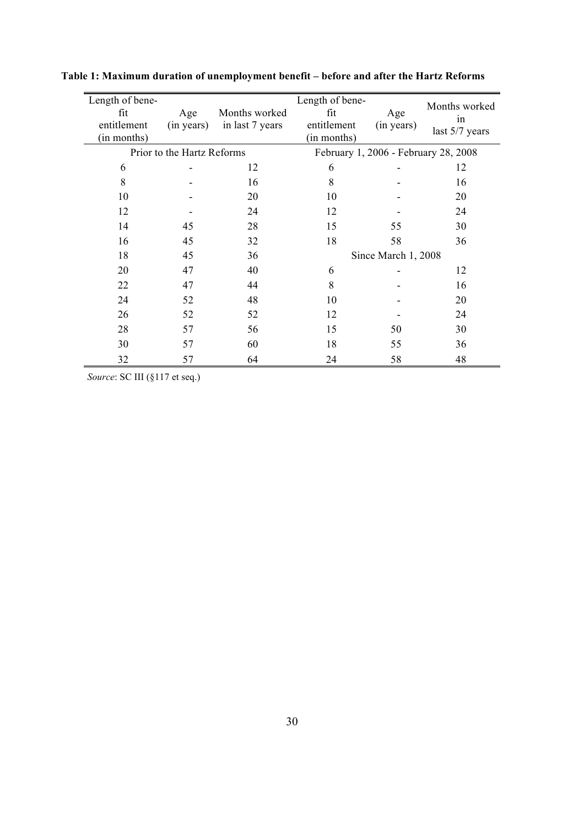| Length of bene-            |            |                 | Length of bene-                      |                     | Months worked  |  |  |  |
|----------------------------|------------|-----------------|--------------------------------------|---------------------|----------------|--|--|--|
| fit                        | Age        | Months worked   | fit                                  | Age                 | 1n             |  |  |  |
| entitlement                | (in years) | in last 7 years | entitlement                          | (in years)          | last 5/7 years |  |  |  |
| (in months)                |            |                 | (in months)                          |                     |                |  |  |  |
| Prior to the Hartz Reforms |            |                 | February 1, 2006 - February 28, 2008 |                     |                |  |  |  |
| 6                          |            | 12              | 6                                    |                     | 12             |  |  |  |
| 8                          |            | 16              | 8                                    |                     | 16             |  |  |  |
| 10                         |            | 20              | 10                                   |                     | 20             |  |  |  |
| 12                         |            | 24              | 12                                   |                     | 24             |  |  |  |
| 14                         | 45         | 28              | 15                                   | 55                  | 30             |  |  |  |
| 16                         | 45         | 32              | 18                                   | 58                  | 36             |  |  |  |
| 18                         | 45         | 36              |                                      | Since March 1, 2008 |                |  |  |  |
| 20                         | 47         | 40              | 6                                    |                     | 12             |  |  |  |
| 22                         | 47         | 44              | 8                                    |                     | 16             |  |  |  |
| 24                         | 52         | 48              | 10                                   |                     | 20             |  |  |  |
| 26                         | 52         | 52              | 12                                   |                     | 24             |  |  |  |
| 28                         | 57         | 56              | 15                                   | 50                  | 30             |  |  |  |
| 30                         | 57         | 60              | 18                                   | 55                  | 36             |  |  |  |
| 32                         | 57         | 64              | 24                                   | 58                  | 48             |  |  |  |

**Table 1: Maximum duration of unemployment benefit – before and after the Hartz Reforms**

*Source*: SC III (§117 et seq.)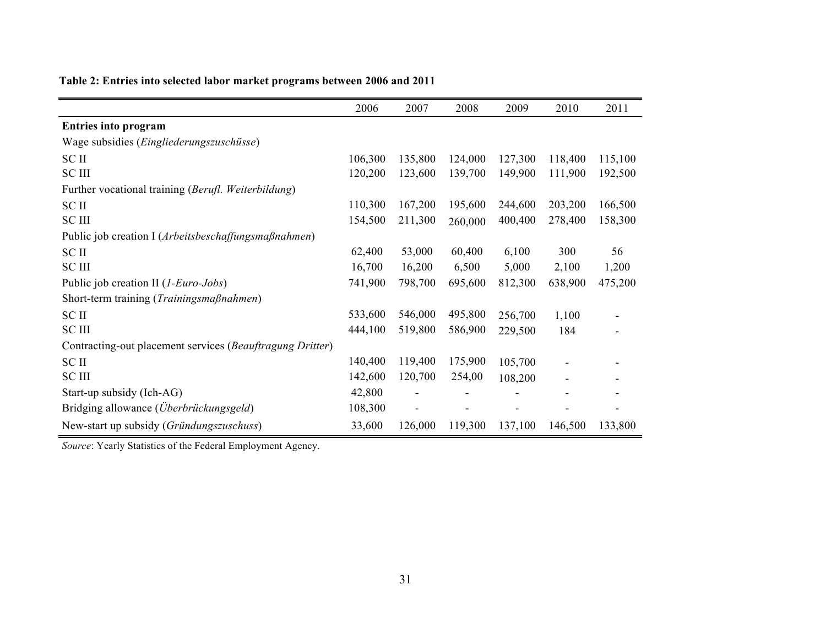|                                                           | 2006    | 2007    | 2008    | 2009    | 2010    | 2011    |
|-----------------------------------------------------------|---------|---------|---------|---------|---------|---------|
| <b>Entries into program</b>                               |         |         |         |         |         |         |
| Wage subsidies ( <i>Eingliederungszuschüsse</i> )         |         |         |         |         |         |         |
| <b>SCII</b>                                               | 106,300 | 135,800 | 124,000 | 127,300 | 118,400 | 115,100 |
| <b>SCIII</b>                                              | 120,200 | 123,600 | 139,700 | 149,900 | 111,900 | 192,500 |
| Further vocational training (Berufl. Weiterbildung)       |         |         |         |         |         |         |
| <b>SCII</b>                                               | 110,300 | 167,200 | 195,600 | 244,600 | 203,200 | 166,500 |
| <b>SCIII</b>                                              | 154,500 | 211,300 | 260,000 | 400,400 | 278,400 | 158,300 |
| Public job creation I (Arbeitsbeschaffungsmaßnahmen)      |         |         |         |         |         |         |
| <b>SCII</b>                                               | 62,400  | 53,000  | 60,400  | 6,100   | 300     | 56      |
| <b>SCIII</b>                                              | 16,700  | 16,200  | 6,500   | 5,000   | 2,100   | 1,200   |
| Public job creation II (1-Euro-Jobs)                      | 741,900 | 798,700 | 695,600 | 812,300 | 638,900 | 475,200 |
| Short-term training ( <i>Trainingsmaßnahmen</i> )         |         |         |         |         |         |         |
| <b>SCII</b>                                               | 533,600 | 546,000 | 495,800 | 256,700 | 1,100   |         |
| <b>SCIII</b>                                              | 444,100 | 519,800 | 586,900 | 229,500 | 184     |         |
| Contracting-out placement services (Beauftragung Dritter) |         |         |         |         |         |         |
| <b>SCII</b>                                               | 140,400 | 119,400 | 175,900 | 105,700 |         |         |
| <b>SCIII</b>                                              | 142,600 | 120,700 | 254,00  | 108,200 |         |         |
| Start-up subsidy (Ich-AG)                                 | 42,800  |         |         |         |         |         |
| Bridging allowance (Überbrückungsgeld)                    | 108,300 |         |         |         |         |         |
| New-start up subsidy (Gründungszuschuss)                  | 33,600  | 126,000 | 119,300 | 137,100 | 146,500 | 133,800 |

# **Table 2: Entries into selected labor market programs between 2006 and 2011**

*Source*: Yearly Statistics of the Federal Employment Agency.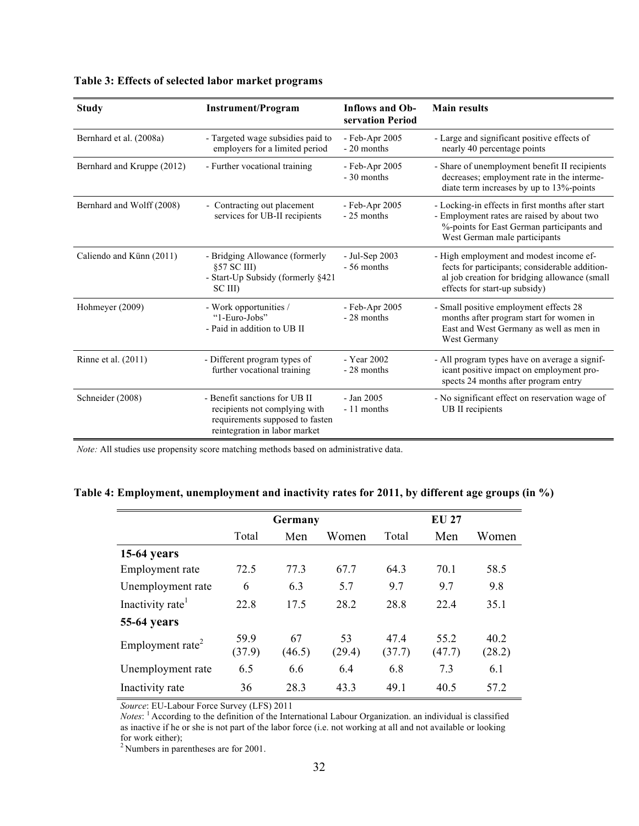| <b>Study</b>               | <b>Instrument/Program</b>                                                                                                          | <b>Inflows and Ob-</b><br>servation Period | <b>Main results</b>                                                                                                                                                          |
|----------------------------|------------------------------------------------------------------------------------------------------------------------------------|--------------------------------------------|------------------------------------------------------------------------------------------------------------------------------------------------------------------------------|
| Bernhard et al. (2008a)    | - Targeted wage subsidies paid to<br>employers for a limited period                                                                | - Feb-Apr 2005<br>- 20 months              | - Large and significant positive effects of<br>nearly 40 percentage points                                                                                                   |
| Bernhard and Kruppe (2012) | - Further vocational training                                                                                                      | - Feb-Apr 2005<br>- 30 months              | - Share of unemployment benefit II recipients<br>decreases; employment rate in the interme-<br>diate term increases by up to 13%-points                                      |
| Bernhard and Wolff (2008)  | - Contracting out placement<br>services for UB-II recipients                                                                       | - Feb-Apr 2005<br>- 25 months              | - Locking-in effects in first months after start<br>- Employment rates are raised by about two<br>%-points for East German participants and<br>West German male participants |
| Caliendo and Künn (2011)   | - Bridging Allowance (formerly<br><b>§57 SC III)</b><br>- Start-Up Subsidy (formerly §421<br>SC III)                               | - Jul-Sep 2003<br>- 56 months              | - High employment and modest income ef-<br>fects for participants; considerable addition-<br>al job creation for bridging allowance (small<br>effects for start-up subsidy)  |
| Hohmeyer (2009)            | - Work opportunities /<br>"1-Euro-Jobs"<br>- Paid in addition to UB II                                                             | - Feb-Apr 2005<br>- 28 months              | - Small positive employment effects 28<br>months after program start for women in<br>East and West Germany as well as men in<br>West Germany                                 |
| Rinne et al. (2011)        | - Different program types of<br>further vocational training                                                                        | - Year 2002<br>- 28 months                 | - All program types have on average a signif-<br>icant positive impact on employment pro-<br>spects 24 months after program entry                                            |
| Schneider (2008)           | - Benefit sanctions for UB II<br>recipients not complying with<br>requirements supposed to fasten<br>reintegration in labor market | - Jan 2005<br>- 11 months                  | - No significant effect on reservation wage of<br>UB II recipients                                                                                                           |

#### **Table 3: Effects of selected labor market programs**

*Note:* All studies use propensity score matching methods based on administrative data.

# **Table 4: Employment, unemployment and inactivity rates for 2011, by different age groups (in %)**

|                              |                | Germany      |              | <b>EU 27</b>   |                |                |  |
|------------------------------|----------------|--------------|--------------|----------------|----------------|----------------|--|
|                              | Total          | Men          | Women        | Total          | Men            | Women          |  |
| <b>15-64 years</b>           |                |              |              |                |                |                |  |
| Employment rate              | 72.5           | 77.3         | 67.7         | 64.3           | 70.1           | 58.5           |  |
| Unemployment rate            | 6              | 6.3          | 5.7          | 9.7            | 9.7            | 9.8            |  |
| Inactivity rate <sup>1</sup> | 22.8           | 17.5         | 28.2         | 28.8           | 22.4           | 35.1           |  |
| <b>55-64 years</b>           |                |              |              |                |                |                |  |
| Employment rate <sup>2</sup> | 59.9<br>(37.9) | 67<br>(46.5) | 53<br>(29.4) | 47.4<br>(37.7) | 55.2<br>(47.7) | 40.2<br>(28.2) |  |
| Unemployment rate            | 6.5            | 6.6          | 6.4          | 6.8            | 7.3            | 6.1            |  |
| Inactivity rate              | 36             | 28.3         | 43.3         | 49.1           | 40.5           | 57.2           |  |

*Source*: EU-Labour Force Survey (LFS) 2011

*Notes*: <sup>1</sup> According to the definition of the International Labour Organization. an individual is classified as inactive if he or she is not part of the labor force (i.e. not working at all and not available or looking for work either);<br><sup>2</sup> Numbers in parentheses are for 2001.